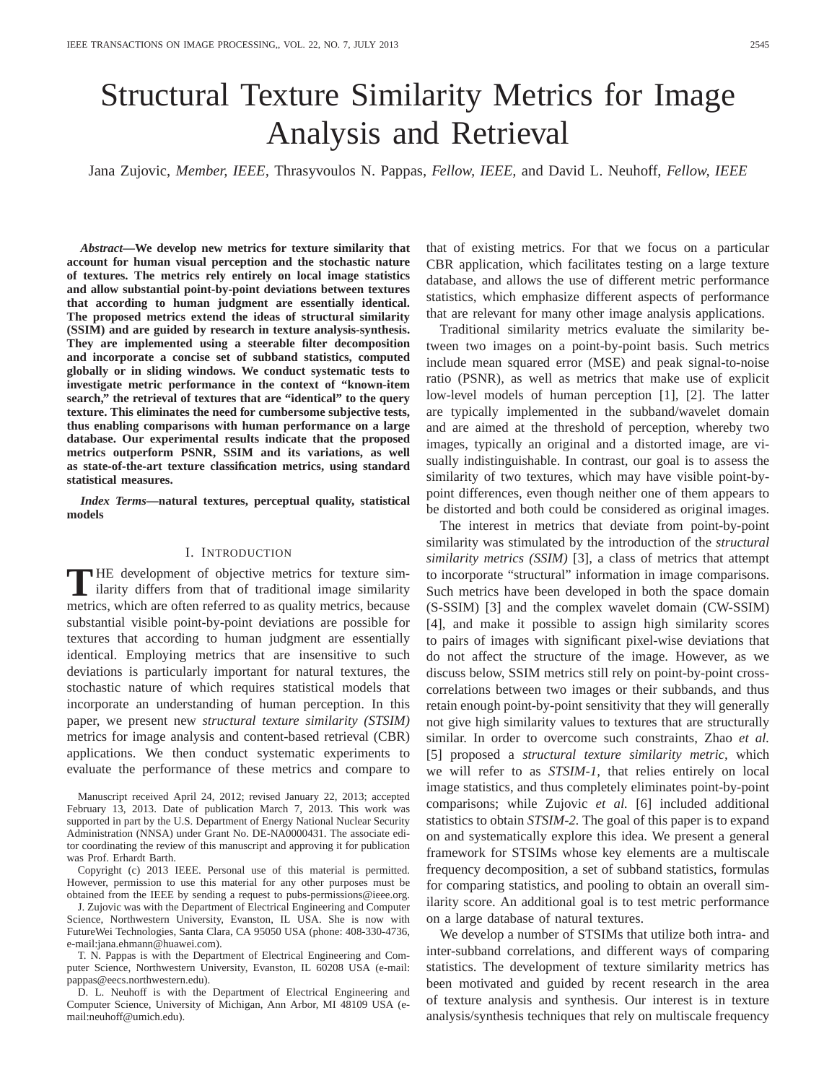# Structural Texture Similarity Metrics for Image Analysis and Retrieval

Jana Zujovic, *Member, IEEE,* Thrasyvoulos N. Pappas, *Fellow, IEEE,* and David L. Neuhoff, *Fellow, IEEE*

*Abstract***—We develop new metrics for texture similarity that account for human visual perception and the stochastic nature of textures. The metrics rely entirely on local image statistics and allow substantial point-by-point deviations between textures that according to human judgment are essentially identical. The proposed metrics extend the ideas of structural similarity (SSIM) and are guided by research in texture analysis-synthesis. They are implemented using a steerable filter decomposition and incorporate a concise set of subband statistics, computed globally or in sliding windows. We conduct systematic tests to investigate metric performance in the context of "known-item search," the retrieval of textures that are "identical" to the query texture. This eliminates the need for cumbersome subjective tests, thus enabling comparisons with human performance on a large database. Our experimental results indicate that the proposed metrics outperform PSNR, SSIM and its variations, as well as state-of-the-art texture classification metrics, using standard statistical measures.**

*Index Terms***—natural textures, perceptual quality, statistical models**

# I. INTRODUCTION

**T**HE development of objective metrics for texture similarity differs from that of traditional image similarity ilarity differs from that of traditional image similarity metrics, which are often referred to as quality metrics, because substantial visible point-by-point deviations are possible for textures that according to human judgment are essentially identical. Employing metrics that are insensitive to such deviations is particularly important for natural textures, the stochastic nature of which requires statistical models that incorporate an understanding of human perception. In this paper, we present new *structural texture similarity (STSIM)* metrics for image analysis and content-based retrieval (CBR) applications. We then conduct systematic experiments to evaluate the performance of these metrics and compare to

Manuscript received April 24, 2012; revised January 22, 2013; accepted February 13, 2013. Date of publication March 7, 2013. This work was supported in part by the U.S. Department of Energy National Nuclear Security Administration (NNSA) under Grant No. DE-NA0000431. The associate editor coordinating the review of this manuscript and approving it for publication was Prof. Erhardt Barth.

Copyright (c) 2013 IEEE. Personal use of this material is permitted. However, permission to use this material for any other purposes must be obtained from the IEEE by sending a request to pubs-permissions@ieee.org.

J. Zujovic was with the Department of Electrical Engineering and Computer Science, Northwestern University, Evanston, IL USA. She is now with FutureWei Technologies, Santa Clara, CA 95050 USA (phone: 408-330-4736, e-mail:jana.ehmann@huawei.com).

T. N. Pappas is with the Department of Electrical Engineering and Computer Science, Northwestern University, Evanston, IL 60208 USA (e-mail: pappas@eecs.northwestern.edu).

D. L. Neuhoff is with the Department of Electrical Engineering and Computer Science, University of Michigan, Ann Arbor, MI 48109 USA (email:neuhoff@umich.edu).

that of existing metrics. For that we focus on a particular CBR application, which facilitates testing on a large texture database, and allows the use of different metric performance statistics, which emphasize different aspects of performance that are relevant for many other image analysis applications.

Traditional similarity metrics evaluate the similarity between two images on a point-by-point basis. Such metrics include mean squared error (MSE) and peak signal-to-noise ratio (PSNR), as well as metrics that make use of explicit low-level models of human perception [1], [2]. The latter are typically implemented in the subband/wavelet domain and are aimed at the threshold of perception, whereby two images, typically an original and a distorted image, are visually indistinguishable. In contrast, our goal is to assess the similarity of two textures, which may have visible point-bypoint differences, even though neither one of them appears to be distorted and both could be considered as original images.

The interest in metrics that deviate from point-by-point similarity was stimulated by the introduction of the *structural similarity metrics (SSIM)* [3], a class of metrics that attempt to incorporate "structural" information in image comparisons. Such metrics have been developed in both the space domain (S-SSIM) [3] and the complex wavelet domain (CW-SSIM) [4], and make it possible to assign high similarity scores to pairs of images with significant pixel-wise deviations that do not affect the structure of the image. However, as we discuss below, SSIM metrics still rely on point-by-point crosscorrelations between two images or their subbands, and thus retain enough point-by-point sensitivity that they will generally not give high similarity values to textures that are structurally similar. In order to overcome such constraints, Zhao *et al.* [5] proposed a *structural texture similarity metric,* which we will refer to as *STSIM-1,* that relies entirely on local image statistics, and thus completely eliminates point-by-point comparisons; while Zujovic *et al.* [6] included additional statistics to obtain *STSIM-2.* The goal of this paper is to expand on and systematically explore this idea. We present a general framework for STSIMs whose key elements are a multiscale frequency decomposition, a set of subband statistics, formulas for comparing statistics, and pooling to obtain an overall similarity score. An additional goal is to test metric performance on a large database of natural textures.

We develop a number of STSIMs that utilize both intra- and inter-subband correlations, and different ways of comparing statistics. The development of texture similarity metrics has been motivated and guided by recent research in the area of texture analysis and synthesis. Our interest is in texture analysis/synthesis techniques that rely on multiscale frequency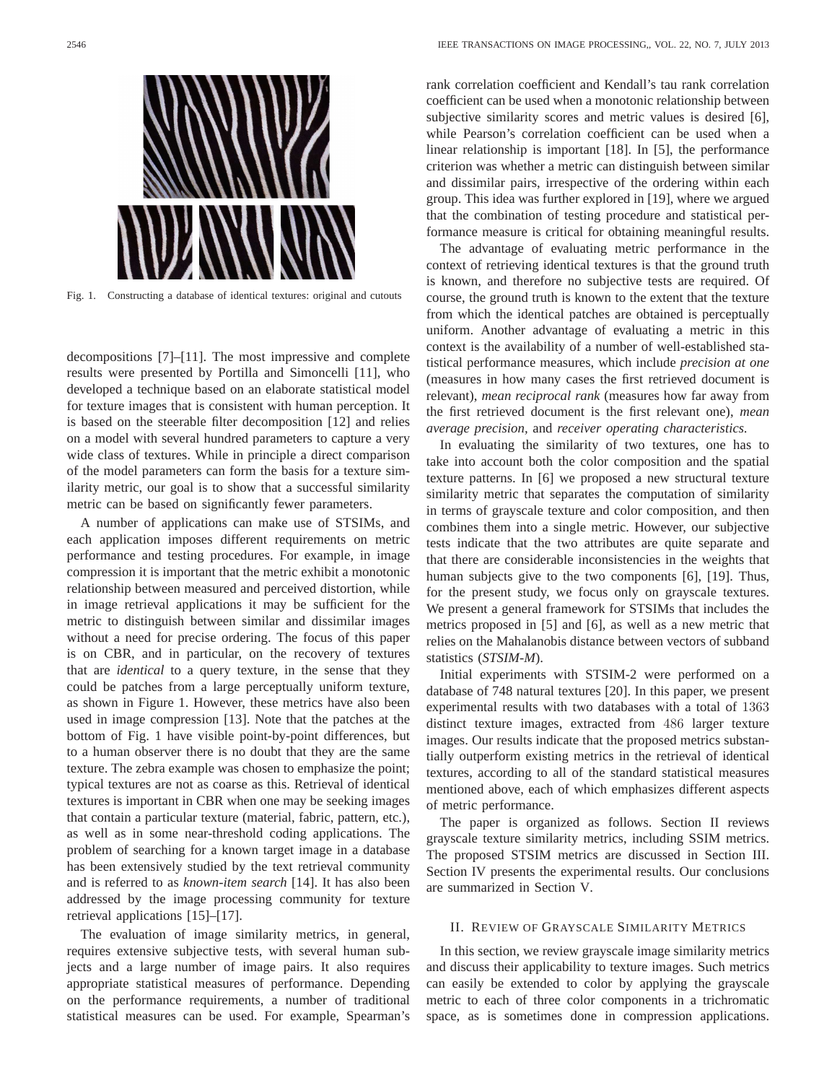

Fig. 1. Constructing a database of identical textures: original and cutouts

decompositions [7]–[11]. The most impressive and complete results were presented by Portilla and Simoncelli [11], who developed a technique based on an elaborate statistical model for texture images that is consistent with human perception. It is based on the steerable filter decomposition [12] and relies on a model with several hundred parameters to capture a very wide class of textures. While in principle a direct comparison of the model parameters can form the basis for a texture similarity metric, our goal is to show that a successful similarity metric can be based on significantly fewer parameters.

A number of applications can make use of STSIMs, and each application imposes different requirements on metric performance and testing procedures. For example, in image compression it is important that the metric exhibit a monotonic relationship between measured and perceived distortion, while in image retrieval applications it may be sufficient for the metric to distinguish between similar and dissimilar images without a need for precise ordering. The focus of this paper is on CBR, and in particular, on the recovery of textures that are *identical* to a query texture, in the sense that they could be patches from a large perceptually uniform texture, as shown in Figure 1. However, these metrics have also been used in image compression [13]. Note that the patches at the bottom of Fig. 1 have visible point-by-point differences, but to a human observer there is no doubt that they are the same texture. The zebra example was chosen to emphasize the point; typical textures are not as coarse as this. Retrieval of identical textures is important in CBR when one may be seeking images that contain a particular texture (material, fabric, pattern, etc.), as well as in some near-threshold coding applications. The problem of searching for a known target image in a database has been extensively studied by the text retrieval community and is referred to as *known-item search* [14]. It has also been addressed by the image processing community for texture retrieval applications [15]–[17].

The evaluation of image similarity metrics, in general, requires extensive subjective tests, with several human subjects and a large number of image pairs. It also requires appropriate statistical measures of performance. Depending on the performance requirements, a number of traditional statistical measures can be used. For example, Spearman's rank correlation coefficient and Kendall's tau rank correlation coefficient can be used when a monotonic relationship between subjective similarity scores and metric values is desired [6], while Pearson's correlation coefficient can be used when a linear relationship is important [18]. In [5], the performance criterion was whether a metric can distinguish between similar and dissimilar pairs, irrespective of the ordering within each group. This idea was further explored in [19], where we argued that the combination of testing procedure and statistical performance measure is critical for obtaining meaningful results.

The advantage of evaluating metric performance in the context of retrieving identical textures is that the ground truth is known, and therefore no subjective tests are required. Of course, the ground truth is known to the extent that the texture from which the identical patches are obtained is perceptually uniform. Another advantage of evaluating a metric in this context is the availability of a number of well-established statistical performance measures, which include *precision at one* (measures in how many cases the first retrieved document is relevant), *mean reciprocal rank* (measures how far away from the first retrieved document is the first relevant one), *mean average precision,* and *receiver operating characteristics.*

In evaluating the similarity of two textures, one has to take into account both the color composition and the spatial texture patterns. In [6] we proposed a new structural texture similarity metric that separates the computation of similarity in terms of grayscale texture and color composition, and then combines them into a single metric. However, our subjective tests indicate that the two attributes are quite separate and that there are considerable inconsistencies in the weights that human subjects give to the two components [6], [19]. Thus, for the present study, we focus only on grayscale textures. We present a general framework for STSIMs that includes the metrics proposed in [5] and [6], as well as a new metric that relies on the Mahalanobis distance between vectors of subband statistics (*STSIM-M*).

Initial experiments with STSIM-2 were performed on a database of 748 natural textures [20]. In this paper, we present experimental results with two databases with a total of 1363 distinct texture images, extracted from 486 larger texture images. Our results indicate that the proposed metrics substantially outperform existing metrics in the retrieval of identical textures, according to all of the standard statistical measures mentioned above, each of which emphasizes different aspects of metric performance.

The paper is organized as follows. Section II reviews grayscale texture similarity metrics, including SSIM metrics. The proposed STSIM metrics are discussed in Section III. Section IV presents the experimental results. Our conclusions are summarized in Section V.

# II. REVIEW OF GRAYSCALE SIMILARITY METRICS

In this section, we review grayscale image similarity metrics and discuss their applicability to texture images. Such metrics can easily be extended to color by applying the grayscale metric to each of three color components in a trichromatic space, as is sometimes done in compression applications.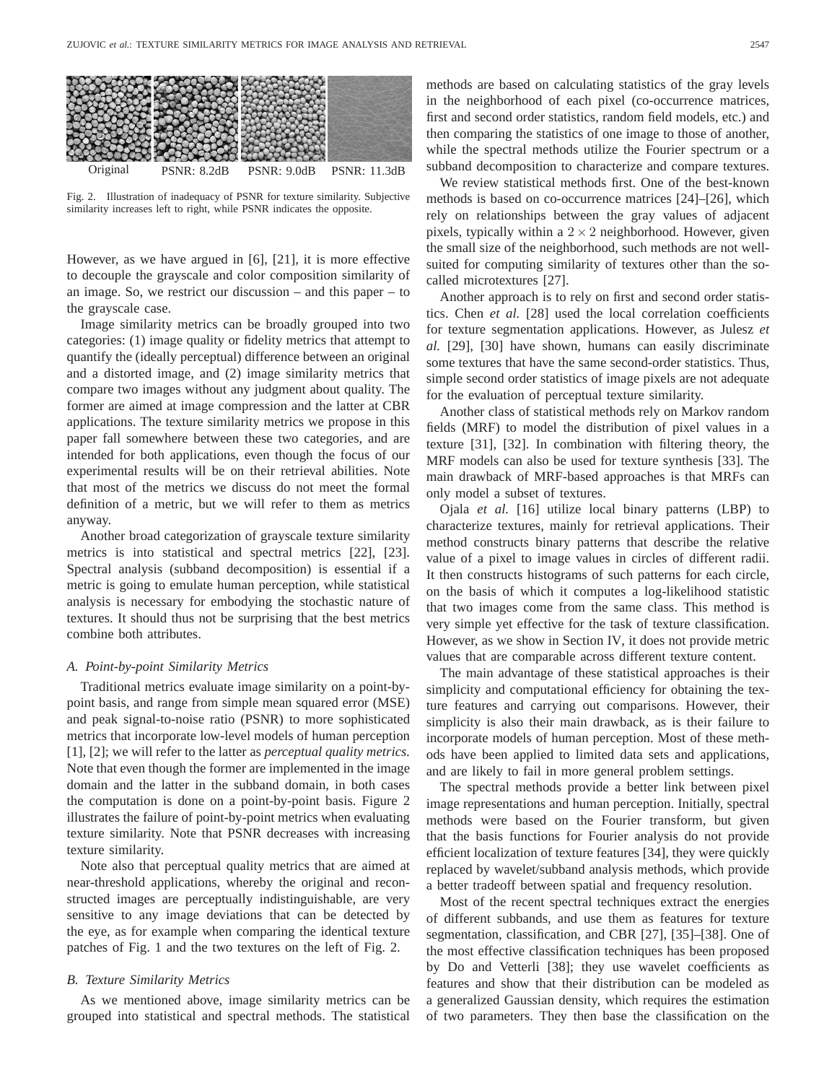

Fig. 2. Illustration of inadequacy of PSNR for texture similarity. Subjective similarity increases left to right, while PSNR indicates the opposite.

However, as we have argued in [6], [21], it is more effective to decouple the grayscale and color composition similarity of an image. So, we restrict our discussion – and this paper – to the grayscale case.

Image similarity metrics can be broadly grouped into two categories: (1) image quality or fidelity metrics that attempt to quantify the (ideally perceptual) difference between an original and a distorted image, and (2) image similarity metrics that compare two images without any judgment about quality. The former are aimed at image compression and the latter at CBR applications. The texture similarity metrics we propose in this paper fall somewhere between these two categories, and are intended for both applications, even though the focus of our experimental results will be on their retrieval abilities. Note that most of the metrics we discuss do not meet the formal definition of a metric, but we will refer to them as metrics anyway.

Another broad categorization of grayscale texture similarity metrics is into statistical and spectral metrics [22], [23]. Spectral analysis (subband decomposition) is essential if a metric is going to emulate human perception, while statistical analysis is necessary for embodying the stochastic nature of textures. It should thus not be surprising that the best metrics combine both attributes.

#### *A. Point-by-point Similarity Metrics*

Traditional metrics evaluate image similarity on a point-bypoint basis, and range from simple mean squared error (MSE) and peak signal-to-noise ratio (PSNR) to more sophisticated metrics that incorporate low-level models of human perception [1], [2]; we will refer to the latter as *perceptual quality metrics.* Note that even though the former are implemented in the image domain and the latter in the subband domain, in both cases the computation is done on a point-by-point basis. Figure 2 illustrates the failure of point-by-point metrics when evaluating texture similarity. Note that PSNR decreases with increasing texture similarity.

Note also that perceptual quality metrics that are aimed at near-threshold applications, whereby the original and reconstructed images are perceptually indistinguishable, are very sensitive to any image deviations that can be detected by the eye, as for example when comparing the identical texture patches of Fig. 1 and the two textures on the left of Fig. 2.

# *B. Texture Similarity Metrics*

As we mentioned above, image similarity metrics can be grouped into statistical and spectral methods. The statistical methods are based on calculating statistics of the gray levels in the neighborhood of each pixel (co-occurrence matrices, first and second order statistics, random field models, etc.) and then comparing the statistics of one image to those of another, while the spectral methods utilize the Fourier spectrum or a subband decomposition to characterize and compare textures.

We review statistical methods first. One of the best-known methods is based on co-occurrence matrices [24]–[26], which rely on relationships between the gray values of adjacent pixels, typically within a  $2 \times 2$  neighborhood. However, given the small size of the neighborhood, such methods are not wellsuited for computing similarity of textures other than the socalled microtextures [27].

Another approach is to rely on first and second order statistics. Chen *et al.* [28] used the local correlation coefficients for texture segmentation applications. However, as Julesz *et al.* [29], [30] have shown, humans can easily discriminate some textures that have the same second-order statistics. Thus, simple second order statistics of image pixels are not adequate for the evaluation of perceptual texture similarity.

Another class of statistical methods rely on Markov random fields (MRF) to model the distribution of pixel values in a texture [31], [32]. In combination with filtering theory, the MRF models can also be used for texture synthesis [33]. The main drawback of MRF-based approaches is that MRFs can only model a subset of textures.

Ojala *et al.* [16] utilize local binary patterns (LBP) to characterize textures, mainly for retrieval applications. Their method constructs binary patterns that describe the relative value of a pixel to image values in circles of different radii. It then constructs histograms of such patterns for each circle, on the basis of which it computes a log-likelihood statistic that two images come from the same class. This method is very simple yet effective for the task of texture classification. However, as we show in Section IV, it does not provide metric values that are comparable across different texture content.

The main advantage of these statistical approaches is their simplicity and computational efficiency for obtaining the texture features and carrying out comparisons. However, their simplicity is also their main drawback, as is their failure to incorporate models of human perception. Most of these methods have been applied to limited data sets and applications, and are likely to fail in more general problem settings.

The spectral methods provide a better link between pixel image representations and human perception. Initially, spectral methods were based on the Fourier transform, but given that the basis functions for Fourier analysis do not provide efficient localization of texture features [34], they were quickly replaced by wavelet/subband analysis methods, which provide a better tradeoff between spatial and frequency resolution.

Most of the recent spectral techniques extract the energies of different subbands, and use them as features for texture segmentation, classification, and CBR [27], [35]–[38]. One of the most effective classification techniques has been proposed by Do and Vetterli [38]; they use wavelet coefficients as features and show that their distribution can be modeled as a generalized Gaussian density, which requires the estimation of two parameters. They then base the classification on the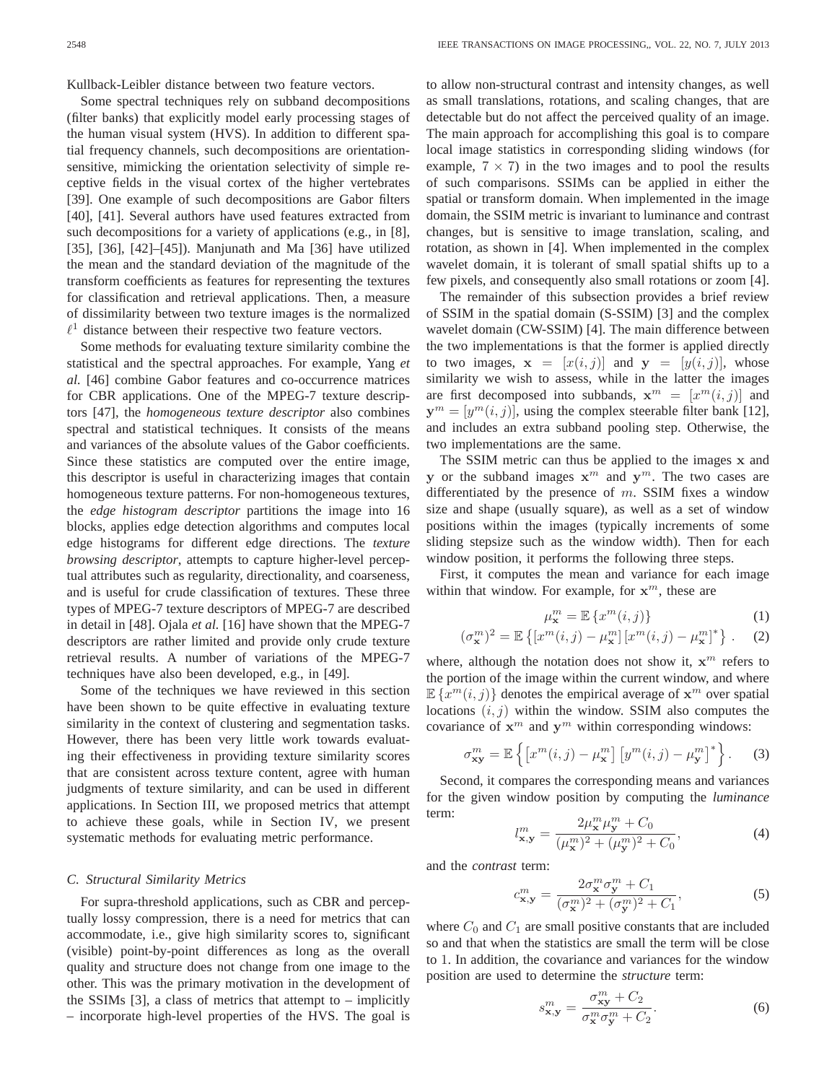Kullback-Leibler distance between two feature vectors.

Some spectral techniques rely on subband decompositions (filter banks) that explicitly model early processing stages of the human visual system (HVS). In addition to different spatial frequency channels, such decompositions are orientationsensitive, mimicking the orientation selectivity of simple receptive fields in the visual cortex of the higher vertebrates [39]. One example of such decompositions are Gabor filters [40], [41]. Several authors have used features extracted from such decompositions for a variety of applications (e.g., in [8], [35], [36], [42]–[45]). Manjunath and Ma [36] have utilized the mean and the standard deviation of the magnitude of the transform coefficients as features for representing the textures for classification and retrieval applications. Then, a measure of dissimilarity between two texture images is the normalized  $\ell^1$  distance between their respective two feature vectors.

Some methods for evaluating texture similarity combine the statistical and the spectral approaches. For example, Yang *et al.* [46] combine Gabor features and co-occurrence matrices for CBR applications. One of the MPEG-7 texture descriptors [47], the *homogeneous texture descriptor* also combines spectral and statistical techniques. It consists of the means and variances of the absolute values of the Gabor coefficients. Since these statistics are computed over the entire image, this descriptor is useful in characterizing images that contain homogeneous texture patterns. For non-homogeneous textures, the *edge histogram descriptor* partitions the image into 16 blocks, applies edge detection algorithms and computes local edge histograms for different edge directions. The *texture browsing descriptor*, attempts to capture higher-level perceptual attributes such as regularity, directionality, and coarseness, and is useful for crude classification of textures. These three types of MPEG-7 texture descriptors of MPEG-7 are described in detail in [48]. Ojala *et al.* [16] have shown that the MPEG-7 descriptors are rather limited and provide only crude texture retrieval results. A number of variations of the MPEG-7 techniques have also been developed, e.g., in [49].

Some of the techniques we have reviewed in this section have been shown to be quite effective in evaluating texture similarity in the context of clustering and segmentation tasks. However, there has been very little work towards evaluating their effectiveness in providing texture similarity scores that are consistent across texture content, agree with human judgments of texture similarity, and can be used in different applications. In Section III, we proposed metrics that attempt to achieve these goals, while in Section IV, we present systematic methods for evaluating metric performance.

# *C. Structural Similarity Metrics*

For supra-threshold applications, such as CBR and perceptually lossy compression, there is a need for metrics that can accommodate, i.e., give high similarity scores to, significant (visible) point-by-point differences as long as the overall quality and structure does not change from one image to the other. This was the primary motivation in the development of the SSIMs  $[3]$ , a class of metrics that attempt to – implicitly – incorporate high-level properties of the HVS. The goal is to allow non-structural contrast and intensity changes, as well as small translations, rotations, and scaling changes, that are detectable but do not affect the perceived quality of an image. The main approach for accomplishing this goal is to compare local image statistics in corresponding sliding windows (for example,  $7 \times 7$ ) in the two images and to pool the results of such comparisons. SSIMs can be applied in either the spatial or transform domain. When implemented in the image domain, the SSIM metric is invariant to luminance and contrast changes, but is sensitive to image translation, scaling, and rotation, as shown in [4]. When implemented in the complex wavelet domain, it is tolerant of small spatial shifts up to a few pixels, and consequently also small rotations or zoom [4].

The remainder of this subsection provides a brief review of SSIM in the spatial domain (S-SSIM) [3] and the complex wavelet domain (CW-SSIM) [4]. The main difference between the two implementations is that the former is applied directly to two images,  $\mathbf{x} = [x(i, j)]$  and  $\mathbf{y} = [y(i, j)]$ , whose similarity we wish to assess, while in the latter the images are first decomposed into subbands,  $x^m = [x^m(i, j)]$  and  $y^m = [y^m(i, j)]$ , using the complex steerable filter bank [12], and includes an extra subband pooling step. Otherwise, the two implementations are the same.

The SSIM metric can thus be applied to the images x and y or the subband images  $x^m$  and  $y^m$ . The two cases are differentiated by the presence of  $m$ . SSIM fixes a window size and shape (usually square), as well as a set of window positions within the images (typically increments of some sliding stepsize such as the window width). Then for each window position, it performs the following three steps.

First, it computes the mean and variance for each image within that window. For example, for  $x^m$ , these are

$$
\mu_{\mathbf{x}}^{m} = \mathbb{E}\left\{x^{m}(i,j)\right\} \tag{1}
$$

$$
(\sigma_{\mathbf{x}}^{m})^{2} = \mathbb{E}\left\{ [x^{m}(i,j) - \mu_{\mathbf{x}}^{m}] [x^{m}(i,j) - \mu_{\mathbf{x}}^{m}]^{*} \right\}. (2)
$$

where, although the notation does not show it,  $x^m$  refers to the portion of the image within the current window, and where  $\mathbb{E}\left\{x^m(i,j)\right\}$  denotes the empirical average of  $\mathbf{x}^m$  over spatial locations  $(i, j)$  within the window. SSIM also computes the covariance of  $x^m$  and  $y^m$  within corresponding windows:

$$
\sigma_{\mathbf{xy}}^m = \mathbb{E}\left\{ \left[ x^m(i,j) - \mu_{\mathbf{x}}^m \right] \left[ y^m(i,j) - \mu_{\mathbf{y}}^m \right]^* \right\}.
$$
 (3)

Second, it compares the corresponding means and variances for the given window position by computing the *luminance* term:

$$
l_{\mathbf{x},\mathbf{y}}^m = \frac{2\mu_{\mathbf{x}}^m \mu_{\mathbf{y}}^m + C_0}{(\mu_{\mathbf{x}}^m)^2 + (\mu_{\mathbf{y}}^m)^2 + C_0},\tag{4}
$$

and the *contrast* term:

$$
c_{\mathbf{x},\mathbf{y}}^m = \frac{2\sigma_{\mathbf{x}}^m \sigma_{\mathbf{y}}^m + C_1}{(\sigma_{\mathbf{x}}^m)^2 + (\sigma_{\mathbf{y}}^m)^2 + C_1},\tag{5}
$$

where  $C_0$  and  $C_1$  are small positive constants that are included so and that when the statistics are small the term will be close to 1. In addition, the covariance and variances for the window position are used to determine the *structure* term:

$$
s_{\mathbf{x},\mathbf{y}}^m = \frac{\sigma_{\mathbf{xy}}^m + C_2}{\sigma_{\mathbf{x}}^m \sigma_{\mathbf{y}}^m + C_2}.
$$
 (6)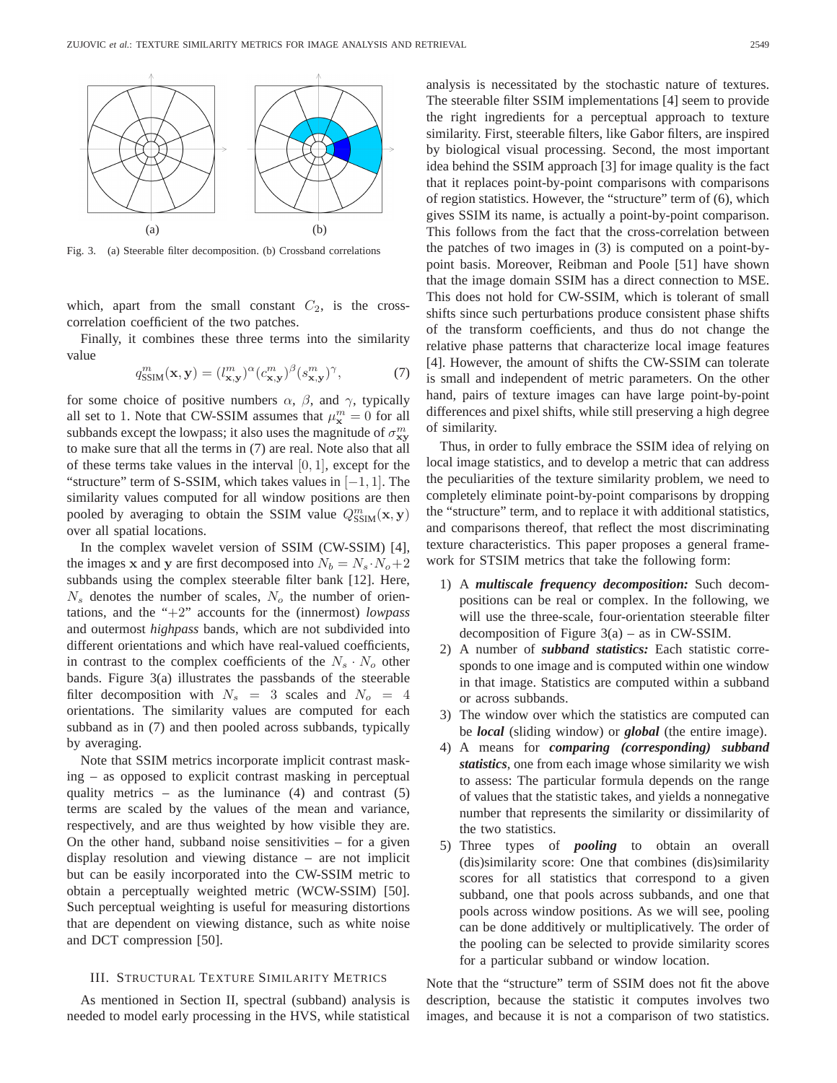

Fig. 3. (a) Steerable filter decomposition. (b) Crossband correlations

which, apart from the small constant  $C_2$ , is the crosscorrelation coefficient of the two patches.

Finally, it combines these three terms into the similarity value

$$
q_{\text{SSIM}}^m(\mathbf{x}, \mathbf{y}) = (l_{\mathbf{x}, \mathbf{y}}^m)^\alpha (c_{\mathbf{x}, \mathbf{y}}^m)^\beta (s_{\mathbf{x}, \mathbf{y}}^m)^\gamma, \tag{7}
$$

for some choice of positive numbers  $\alpha$ ,  $\beta$ , and  $\gamma$ , typically all set to 1. Note that CW-SSIM assumes that  $\mu_{\mathbf{x}}^m = 0$  for all subbands except the lowpass; it also uses the magnitude of  $\sigma_{xy}^m$ to make sure that all the terms in (7) are real. Note also that all of these terms take values in the interval  $[0, 1]$ , except for the "structure" term of S-SSIM, which takes values in  $[-1, 1]$ . The similarity values computed for all window positions are then pooled by averaging to obtain the SSIM value  $Q_{\text{SSIM}}^{m}(\mathbf{x}, \mathbf{y})$ over all spatial locations.

In the complex wavelet version of SSIM (CW-SSIM) [4], the images x and y are first decomposed into  $N_b = N_s \cdot N_o + 2$ subbands using the complex steerable filter bank [12]. Here,  $N_s$  denotes the number of scales,  $N_o$  the number of orientations, and the "+2" accounts for the (innermost) *lowpass* and outermost *highpass* bands, which are not subdivided into different orientations and which have real-valued coefficients, in contrast to the complex coefficients of the  $N_s \cdot N_o$  other bands. Figure 3(a) illustrates the passbands of the steerable filter decomposition with  $N_s = 3$  scales and  $N_o = 4$ orientations. The similarity values are computed for each subband as in  $(7)$  and then pooled across subbands, typically by averaging.

Note that SSIM metrics incorporate implicit contrast masking – as opposed to explicit contrast masking in perceptual quality metrics – as the luminance  $(4)$  and contrast  $(5)$ terms are scaled by the values of the mean and variance, respectively, and are thus weighted by how visible they are. On the other hand, subband noise sensitivities – for a given display resolution and viewing distance – are not implicit but can be easily incorporated into the CW-SSIM metric to obtain a perceptually weighted metric (WCW-SSIM) [50]. Such perceptual weighting is useful for measuring distortions that are dependent on viewing distance, such as white noise and DCT compression [50].

# III. STRUCTURAL TEXTURE SIMILARITY METRICS

As mentioned in Section II, spectral (subband) analysis is needed to model early processing in the HVS, while statistical analysis is necessitated by the stochastic nature of textures. The steerable filter SSIM implementations [4] seem to provide the right ingredients for a perceptual approach to texture similarity. First, steerable filters, like Gabor filters, are inspired by biological visual processing. Second, the most important idea behind the SSIM approach [3] for image quality is the fact that it replaces point-by-point comparisons with comparisons of region statistics. However, the "structure" term of (6), which gives SSIM its name, is actually a point-by-point comparison. This follows from the fact that the cross-correlation between the patches of two images in (3) is computed on a point-bypoint basis. Moreover, Reibman and Poole [51] have shown that the image domain SSIM has a direct connection to MSE. This does not hold for CW-SSIM, which is tolerant of small shifts since such perturbations produce consistent phase shifts of the transform coefficients, and thus do not change the relative phase patterns that characterize local image features [4]. However, the amount of shifts the CW-SSIM can tolerate is small and independent of metric parameters. On the other hand, pairs of texture images can have large point-by-point differences and pixel shifts, while still preserving a high degree of similarity.

Thus, in order to fully embrace the SSIM idea of relying on local image statistics, and to develop a metric that can address the peculiarities of the texture similarity problem, we need to completely eliminate point-by-point comparisons by dropping the "structure" term, and to replace it with additional statistics, and comparisons thereof, that reflect the most discriminating texture characteristics. This paper proposes a general framework for STSIM metrics that take the following form:

- 1) A *multiscale frequency decomposition:* Such decompositions can be real or complex. In the following, we will use the three-scale, four-orientation steerable filter decomposition of Figure 3(a) – as in CW-SSIM.
- 2) A number of *subband statistics:* Each statistic corresponds to one image and is computed within one window in that image. Statistics are computed within a subband or across subbands.
- 3) The window over which the statistics are computed can be *local* (sliding window) or *global* (the entire image).
- 4) A means for *comparing (corresponding) subband statistics*, one from each image whose similarity we wish to assess: The particular formula depends on the range of values that the statistic takes, and yields a nonnegative number that represents the similarity or dissimilarity of the two statistics.
- 5) Three types of *pooling* to obtain an overall (dis)similarity score: One that combines (dis)similarity scores for all statistics that correspond to a given subband, one that pools across subbands, and one that pools across window positions. As we will see, pooling can be done additively or multiplicatively. The order of the pooling can be selected to provide similarity scores for a particular subband or window location.

Note that the "structure" term of SSIM does not fit the above description, because the statistic it computes involves two images, and because it is not a comparison of two statistics.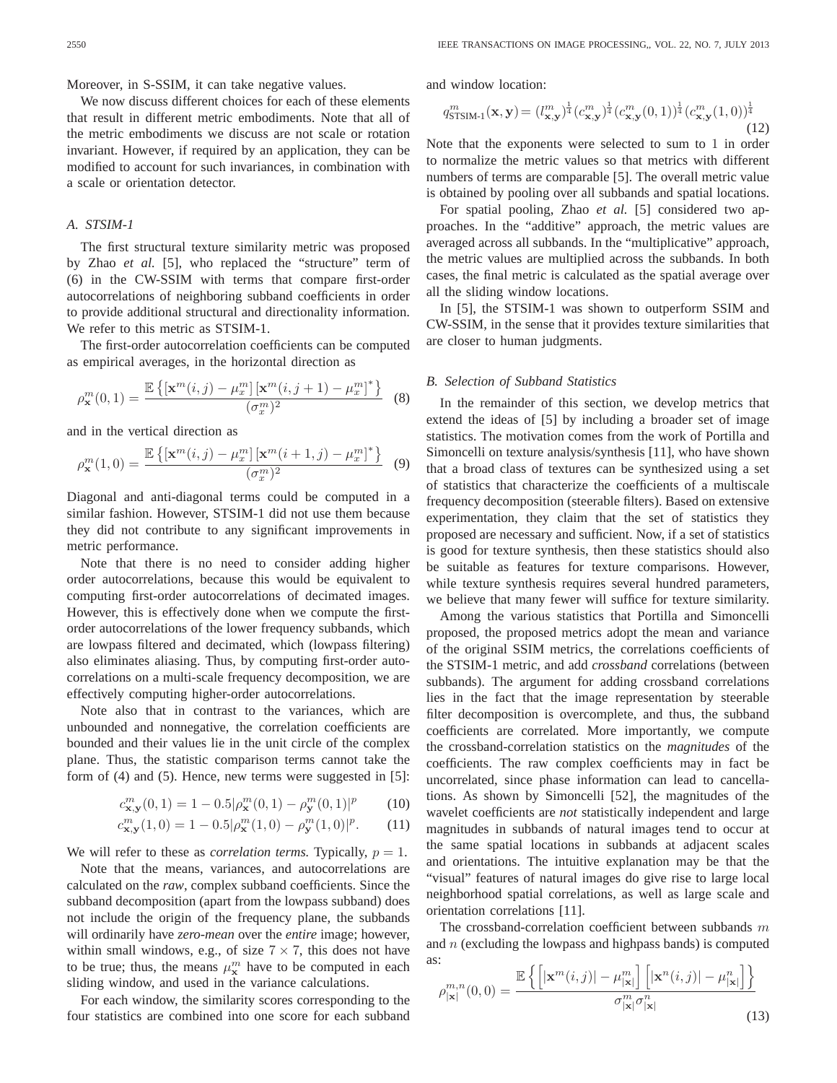Moreover, in S-SSIM, it can take negative values.

We now discuss different choices for each of these elements that result in different metric embodiments. Note that all of the metric embodiments we discuss are not scale or rotation invariant. However, if required by an application, they can be modified to account for such invariances, in combination with a scale or orientation detector.

# *A. STSIM-1*

The first structural texture similarity metric was proposed by Zhao *et al.* [5], who replaced the "structure" term of (6) in the CW-SSIM with terms that compare first-order autocorrelations of neighboring subband coefficients in order to provide additional structural and directionality information. We refer to this metric as STSIM-1.

The first-order autocorrelation coefficients can be computed as empirical averages, in the horizontal direction as

$$
\rho_{\mathbf{x}}^{m}(0,1) = \frac{\mathbb{E}\left\{ \left[ \mathbf{x}^{m}(i,j) - \mu_{x}^{m} \right] \left[ \mathbf{x}^{m}(i,j+1) - \mu_{x}^{m} \right]^{*} \right\}}{(\sigma_{x}^{m})^{2}} \quad (8)
$$

and in the vertical direction as

$$
\rho_{\mathbf{x}}^{m}(1,0) = \frac{\mathbb{E}\left\{ \left[ \mathbf{x}^{m}(i,j) - \mu_{x}^{m} \right] \left[ \mathbf{x}^{m}(i+1,j) - \mu_{x}^{m} \right]^{*} \right\}}{(\sigma_{x}^{m})^{2}} \quad (9)
$$

Diagonal and anti-diagonal terms could be computed in a similar fashion. However, STSIM-1 did not use them because they did not contribute to any significant improvements in metric performance.

Note that there is no need to consider adding higher order autocorrelations, because this would be equivalent to computing first-order autocorrelations of decimated images. However, this is effectively done when we compute the firstorder autocorrelations of the lower frequency subbands, which are lowpass filtered and decimated, which (lowpass filtering) also eliminates aliasing. Thus, by computing first-order autocorrelations on a multi-scale frequency decomposition, we are effectively computing higher-order autocorrelations.

Note also that in contrast to the variances, which are unbounded and nonnegative, the correlation coefficients are bounded and their values lie in the unit circle of the complex plane. Thus, the statistic comparison terms cannot take the form of (4) and (5). Hence, new terms were suggested in [5]:

$$
c_{\mathbf{x},\mathbf{y}}^{m}(0,1) = 1 - 0.5|\rho_{\mathbf{x}}^{m}(0,1) - \rho_{\mathbf{y}}^{m}(0,1)|^{p}
$$
 (10)

$$
c_{\mathbf{x},\mathbf{y}}^m(1,0) = 1 - 0.5|\rho_{\mathbf{x}}^m(1,0) - \rho_{\mathbf{y}}^m(1,0)|^p. \tag{11}
$$

We will refer to these as *correlation terms*. Typically,  $p = 1$ .

Note that the means, variances, and autocorrelations are calculated on the *raw*, complex subband coefficients. Since the subband decomposition (apart from the lowpass subband) does not include the origin of the frequency plane, the subbands will ordinarily have *zero-mean* over the *entire* image; however, within small windows, e.g., of size  $7 \times 7$ , this does not have to be true; thus, the means  $\mu_{\mathbf{x}}^m$  have to be computed in each sliding window, and used in the variance calculations.

For each window, the similarity scores corresponding to the four statistics are combined into one score for each subband and window location:

$$
q_{\text{STSIM-1}}^{m}(\mathbf{x}, \mathbf{y}) = (l_{\mathbf{x}, \mathbf{y}}^{m})^{\frac{1}{4}} (c_{\mathbf{x}, \mathbf{y}}^{m})^{\frac{1}{4}} (c_{\mathbf{x}, \mathbf{y}}^{m}(0, 1))^{\frac{1}{4}} (c_{\mathbf{x}, \mathbf{y}}^{m}(1, 0))^{\frac{1}{4}}
$$
(12)

Note that the exponents were selected to sum to 1 in order to normalize the metric values so that metrics with different numbers of terms are comparable [5]. The overall metric value is obtained by pooling over all subbands and spatial locations.

For spatial pooling, Zhao *et al.* [5] considered two approaches. In the "additive" approach, the metric values are averaged across all subbands. In the "multiplicative" approach, the metric values are multiplied across the subbands. In both cases, the final metric is calculated as the spatial average over all the sliding window locations.

In [5], the STSIM-1 was shown to outperform SSIM and CW-SSIM, in the sense that it provides texture similarities that are closer to human judgments.

#### *B. Selection of Subband Statistics*

In the remainder of this section, we develop metrics that extend the ideas of [5] by including a broader set of image statistics. The motivation comes from the work of Portilla and Simoncelli on texture analysis/synthesis [11], who have shown that a broad class of textures can be synthesized using a set of statistics that characterize the coefficients of a multiscale frequency decomposition (steerable filters). Based on extensive experimentation, they claim that the set of statistics they proposed are necessary and sufficient. Now, if a set of statistics is good for texture synthesis, then these statistics should also be suitable as features for texture comparisons. However, while texture synthesis requires several hundred parameters, we believe that many fewer will suffice for texture similarity.

Among the various statistics that Portilla and Simoncelli proposed, the proposed metrics adopt the mean and variance of the original SSIM metrics, the correlations coefficients of the STSIM-1 metric, and add *crossband* correlations (between subbands). The argument for adding crossband correlations lies in the fact that the image representation by steerable filter decomposition is overcomplete, and thus, the subband coefficients are correlated. More importantly, we compute the crossband-correlation statistics on the *magnitudes* of the coefficients. The raw complex coefficients may in fact be uncorrelated, since phase information can lead to cancellations. As shown by Simoncelli [52], the magnitudes of the wavelet coefficients are *not* statistically independent and large magnitudes in subbands of natural images tend to occur at the same spatial locations in subbands at adjacent scales and orientations. The intuitive explanation may be that the "visual" features of natural images do give rise to large local neighborhood spatial correlations, as well as large scale and orientation correlations [11].

The crossband-correlation coefficient between subbands  $m$ and  $n$  (excluding the lowpass and highpass bands) is computed as:

$$
\rho_{|\mathbf{x}|}^{m,n}(0,0) = \frac{\mathbb{E}\left\{ \left[ |\mathbf{x}^m(i,j)| - \mu_{|\mathbf{x}|}^m \right] \left[ |\mathbf{x}^n(i,j)| - \mu_{|\mathbf{x}|}^n \right] \right\}}{\sigma_{|\mathbf{x}|}^m \sigma_{|\mathbf{x}|}^n}
$$
(13)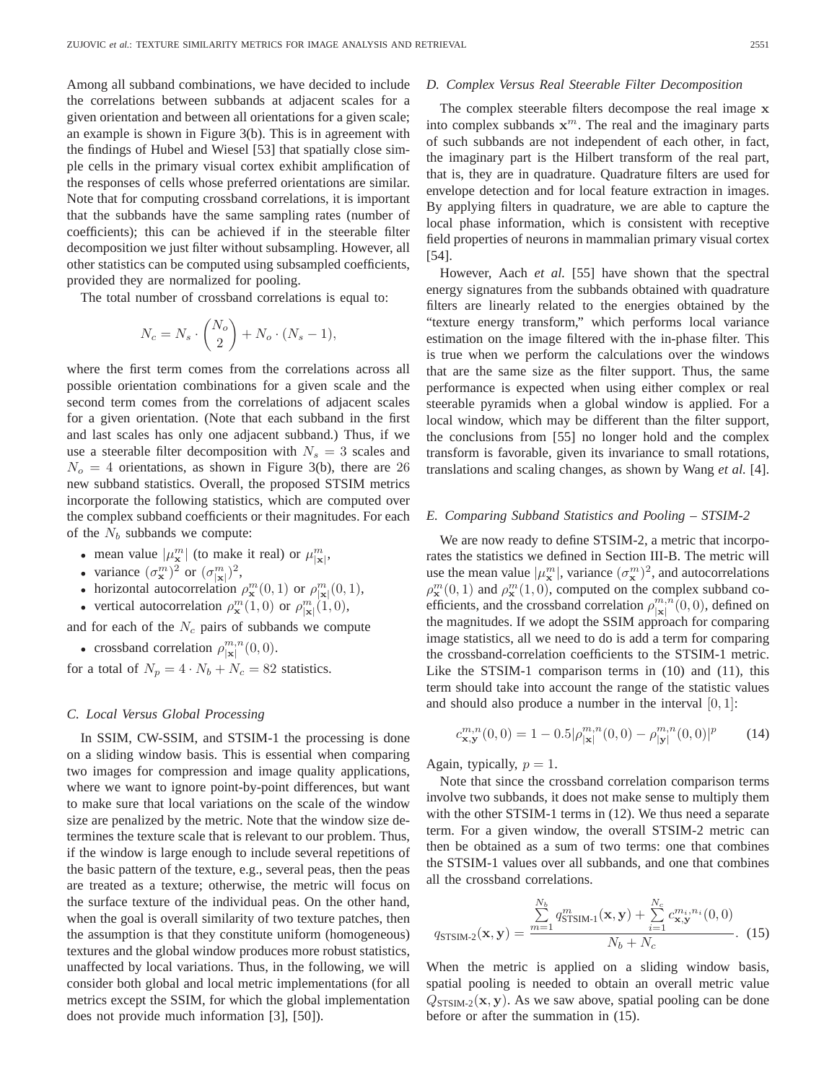Among all subband combinations, we have decided to include the correlations between subbands at adjacent scales for a given orientation and between all orientations for a given scale; an example is shown in Figure 3(b). This is in agreement with the findings of Hubel and Wiesel [53] that spatially close simple cells in the primary visual cortex exhibit amplification of the responses of cells whose preferred orientations are similar. Note that for computing crossband correlations, it is important that the subbands have the same sampling rates (number of coefficients); this can be achieved if in the steerable filter decomposition we just filter without subsampling. However, all other statistics can be computed using subsampled coefficients, provided they are normalized for pooling.

The total number of crossband correlations is equal to:

$$
N_c = N_s \cdot \binom{N_o}{2} + N_o \cdot (N_s - 1),
$$

where the first term comes from the correlations across all possible orientation combinations for a given scale and the second term comes from the correlations of adjacent scales for a given orientation. (Note that each subband in the first and last scales has only one adjacent subband.) Thus, if we use a steerable filter decomposition with  $N_s = 3$  scales and  $N<sub>o</sub> = 4$  orientations, as shown in Figure 3(b), there are 26 new subband statistics. Overall, the proposed STSIM metrics incorporate the following statistics, which are computed over the complex subband coefficients or their magnitudes. For each of the  $N_b$  subbands we compute:

- mean value  $|\mu^m_{\mathbf{x}}|$  (to make it real) or  $\mu^m_{|\mathbf{x}|}$ ,
- variance  $(\sigma_{\mathbf{x}}^m)^2$  or  $(\sigma_{|\mathbf{x}|}^m)^2$ ,
- horizontal autocorrelation  $\rho_{\mathbf{x}}^{m}(0,1)$  or  $\rho_{|\mathbf{x}|}^{m}(0,1)$ ,
- vertical autocorrelation  $\rho_{\mathbf{x}}^{m}(1,0)$  or  $\rho_{|\mathbf{x}|}^{m}(1,0)$ ,

and for each of the  $N_c$  pairs of subbands we compute

• crossband correlation  $\rho_{|\mathbf{x}|}^{m,n}$  $\frac{m,n}{|\mathbf{x}|}(0,0).$ 

for a total of  $N_p = 4 \cdot N_b + N_c = 82$  statistics.

# *C. Local Versus Global Processing*

In SSIM, CW-SSIM, and STSIM-1 the processing is done on a sliding window basis. This is essential when comparing two images for compression and image quality applications, where we want to ignore point-by-point differences, but want to make sure that local variations on the scale of the window size are penalized by the metric. Note that the window size determines the texture scale that is relevant to our problem. Thus, if the window is large enough to include several repetitions of the basic pattern of the texture, e.g., several peas, then the peas are treated as a texture; otherwise, the metric will focus on the surface texture of the individual peas. On the other hand, when the goal is overall similarity of two texture patches, then the assumption is that they constitute uniform (homogeneous) textures and the global window produces more robust statistics, unaffected by local variations. Thus, in the following, we will consider both global and local metric implementations (for all metrics except the SSIM, for which the global implementation does not provide much information [3], [50]).

# *D. Complex Versus Real Steerable Filter Decomposition*

The complex steerable filters decompose the real image x into complex subbands  $x^m$ . The real and the imaginary parts of such subbands are not independent of each other, in fact, the imaginary part is the Hilbert transform of the real part, that is, they are in quadrature. Quadrature filters are used for envelope detection and for local feature extraction in images. By applying filters in quadrature, we are able to capture the local phase information, which is consistent with receptive field properties of neurons in mammalian primary visual cortex [54].

However, Aach *et al.* [55] have shown that the spectral energy signatures from the subbands obtained with quadrature filters are linearly related to the energies obtained by the "texture energy transform," which performs local variance estimation on the image filtered with the in-phase filter. This is true when we perform the calculations over the windows that are the same size as the filter support. Thus, the same performance is expected when using either complex or real steerable pyramids when a global window is applied. For a local window, which may be different than the filter support, the conclusions from [55] no longer hold and the complex transform is favorable, given its invariance to small rotations, translations and scaling changes, as shown by Wang *et al.* [4].

## *E. Comparing Subband Statistics and Pooling – STSIM-2*

We are now ready to define STSIM-2, a metric that incorporates the statistics we defined in Section III-B. The metric will use the mean value  $|\mu_{\mathbf{x}}^{m}|$ , variance  $(\sigma_{\mathbf{x}}^{m})^2$ , and autocorrelations  $\rho_{\mathbf{x}}^{m}(0,1)$  and  $\rho_{\mathbf{x}}^{m}(1,0)$ , computed on the complex subband coefficients, and the crossband correlation  $\rho_{|\mathbf{x}|}^{m,n}$  $\binom{m,n}{|\mathbf{x}|}(0,0)$ , defined on the magnitudes. If we adopt the SSIM approach for comparing image statistics, all we need to do is add a term for comparing the crossband-correlation coefficients to the STSIM-1 metric. Like the STSIM-1 comparison terms in (10) and (11), this term should take into account the range of the statistic values and should also produce a number in the interval  $[0, 1]$ :

$$
c_{\mathbf{x},\mathbf{y}}^{m,n}(0,0) = 1 - 0.5|\rho_{|\mathbf{x}|}^{m,n}(0,0) - \rho_{|\mathbf{y}|}^{m,n}(0,0)|^p \tag{14}
$$

Again, typically,  $p = 1$ .

Note that since the crossband correlation comparison terms involve two subbands, it does not make sense to multiply them with the other STSIM-1 terms in  $(12)$ . We thus need a separate term. For a given window, the overall STSIM-2 metric can then be obtained as a sum of two terms: one that combines the STSIM-1 values over all subbands, and one that combines all the crossband correlations.

$$
q_{\text{STSIM-2}}(\mathbf{x}, \mathbf{y}) = \frac{\sum_{m=1}^{N_b} q_{\text{STSIM-1}}^m(\mathbf{x}, \mathbf{y}) + \sum_{i=1}^{N_c} c_{\mathbf{x}, \mathbf{y}}^{m_i, n_i}(0, 0)}{N_b + N_c}.
$$
 (15)

When the metric is applied on a sliding window basis, spatial pooling is needed to obtain an overall metric value  $Q_{STSIM-2}(\mathbf{x}, \mathbf{y})$ . As we saw above, spatial pooling can be done before or after the summation in (15).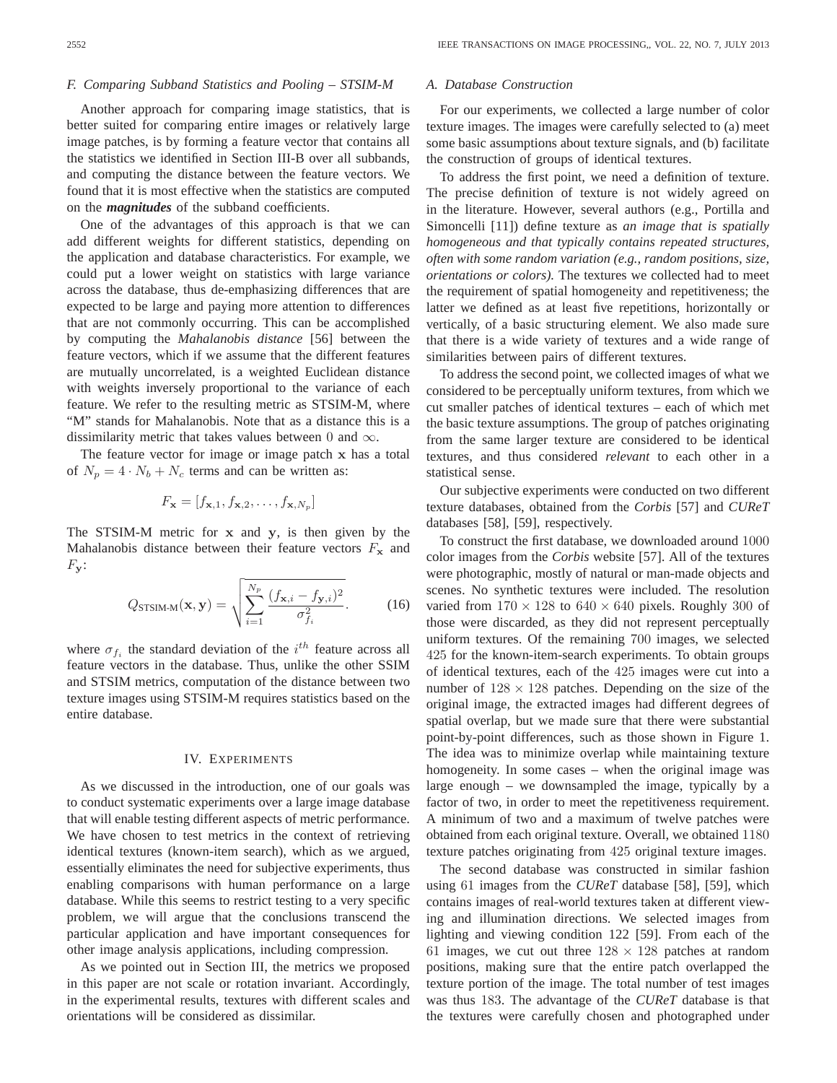#### *F. Comparing Subband Statistics and Pooling – STSIM-M*

Another approach for comparing image statistics, that is better suited for comparing entire images or relatively large image patches, is by forming a feature vector that contains all the statistics we identified in Section III-B over all subbands, and computing the distance between the feature vectors. We found that it is most effective when the statistics are computed on the *magnitudes* of the subband coefficients.

One of the advantages of this approach is that we can add different weights for different statistics, depending on the application and database characteristics. For example, we could put a lower weight on statistics with large variance across the database, thus de-emphasizing differences that are expected to be large and paying more attention to differences that are not commonly occurring. This can be accomplished by computing the *Mahalanobis distance* [56] between the feature vectors, which if we assume that the different features are mutually uncorrelated, is a weighted Euclidean distance with weights inversely proportional to the variance of each feature. We refer to the resulting metric as STSIM-M, where "M" stands for Mahalanobis. Note that as a distance this is a dissimilarity metric that takes values between 0 and  $\infty$ .

The feature vector for image or image patch x has a total of  $N_p = 4 \cdot N_b + N_c$  terms and can be written as:

$$
F_{\mathbf{x}} = [f_{\mathbf{x},1}, f_{\mathbf{x},2}, \dots, f_{\mathbf{x},N_p}]
$$

The STSIM-M metric for x and y, is then given by the Mahalanobis distance between their feature vectors  $F_x$  and  $F_{\mathbf{v}}$ :

$$
Q_{\text{STSIM-M}}(\mathbf{x}, \mathbf{y}) = \sqrt{\sum_{i=1}^{N_p} \frac{(f_{\mathbf{x},i} - f_{\mathbf{y},i})^2}{\sigma_{f_i}^2}}.
$$
 (16)

where  $\sigma_{f_i}$  the standard deviation of the  $i^{th}$  feature across all feature vectors in the database. Thus, unlike the other SSIM and STSIM metrics, computation of the distance between two texture images using STSIM-M requires statistics based on the entire database.

# IV. EXPERIMENTS

As we discussed in the introduction, one of our goals was to conduct systematic experiments over a large image database that will enable testing different aspects of metric performance. We have chosen to test metrics in the context of retrieving identical textures (known-item search), which as we argued, essentially eliminates the need for subjective experiments, thus enabling comparisons with human performance on a large database. While this seems to restrict testing to a very specific problem, we will argue that the conclusions transcend the particular application and have important consequences for other image analysis applications, including compression.

As we pointed out in Section III, the metrics we proposed in this paper are not scale or rotation invariant. Accordingly, in the experimental results, textures with different scales and orientations will be considered as dissimilar.

# *A. Database Construction*

For our experiments, we collected a large number of color texture images. The images were carefully selected to (a) meet some basic assumptions about texture signals, and (b) facilitate the construction of groups of identical textures.

To address the first point, we need a definition of texture. The precise definition of texture is not widely agreed on in the literature. However, several authors (e.g., Portilla and Simoncelli [11]) define texture as *an image that is spatially homogeneous and that typically contains repeated structures, often with some random variation (e.g., random positions, size, orientations or colors).* The textures we collected had to meet the requirement of spatial homogeneity and repetitiveness; the latter we defined as at least five repetitions, horizontally or vertically, of a basic structuring element. We also made sure that there is a wide variety of textures and a wide range of similarities between pairs of different textures.

To address the second point, we collected images of what we considered to be perceptually uniform textures, from which we cut smaller patches of identical textures – each of which met the basic texture assumptions. The group of patches originating from the same larger texture are considered to be identical textures, and thus considered *relevant* to each other in a statistical sense.

Our subjective experiments were conducted on two different texture databases, obtained from the *Corbis* [57] and *CUReT* databases [58], [59], respectively.

To construct the first database, we downloaded around 1000 color images from the *Corbis* website [57]. All of the textures were photographic, mostly of natural or man-made objects and scenes. No synthetic textures were included. The resolution varied from  $170 \times 128$  to  $640 \times 640$  pixels. Roughly 300 of those were discarded, as they did not represent perceptually uniform textures. Of the remaining 700 images, we selected 425 for the known-item-search experiments. To obtain groups of identical textures, each of the 425 images were cut into a number of  $128 \times 128$  patches. Depending on the size of the original image, the extracted images had different degrees of spatial overlap, but we made sure that there were substantial point-by-point differences, such as those shown in Figure 1. The idea was to minimize overlap while maintaining texture homogeneity. In some cases – when the original image was large enough – we downsampled the image, typically by a factor of two, in order to meet the repetitiveness requirement. A minimum of two and a maximum of twelve patches were obtained from each original texture. Overall, we obtained 1180 texture patches originating from 425 original texture images.

The second database was constructed in similar fashion using 61 images from the *CUReT* database [58], [59], which contains images of real-world textures taken at different viewing and illumination directions. We selected images from lighting and viewing condition 122 [59]. From each of the 61 images, we cut out three  $128 \times 128$  patches at random positions, making sure that the entire patch overlapped the texture portion of the image. The total number of test images was thus 183. The advantage of the *CUReT* database is that the textures were carefully chosen and photographed under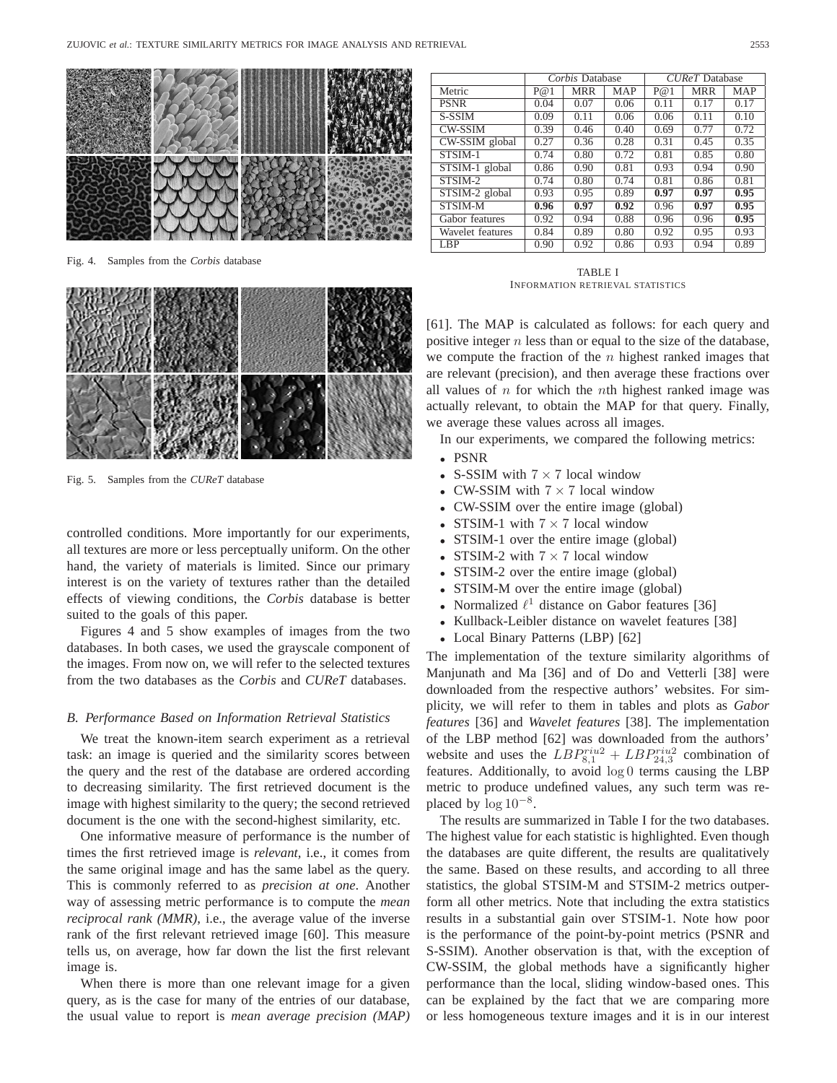

Fig. 4. Samples from the *Corbis* database

|                                     | Corbis Database |            |                         | <b>CUReT</b> Database |                   |      |
|-------------------------------------|-----------------|------------|-------------------------|-----------------------|-------------------|------|
| Metric                              | P@1             | <b>MRR</b> | $\overline{\text{MAP}}$ | P@1                   | <b>MRR</b>        | MAP  |
| <b>PSNR</b>                         | 0.04            | 0.07       | 0.06                    | 0.11                  | 0.17              | 0.17 |
| S-SSIM                              | 0.09            | 0.11       | 0.06                    | 0.06                  | $\overline{0.11}$ | 0.10 |
| <b>CW-SSIM</b>                      | 0.39            | 0.46       | 0.40                    | 0.69                  | 0.77              | 0.72 |
| $\overline{\text{CW}}$ -SSIM global | 0.27            | 0.36       | 0.28                    | 0.31                  | 0.45              | 0.35 |
| STSIM-1                             | 0.74            | 0.80       | 0.72                    | 0.81                  | 0.85              | 0.80 |
| STSIM-1 global                      | 0.86            | 0.90       | 0.81                    | 0.93                  | 0.94              | 0.90 |
| STSIM-2                             | 0.74            | 0.80       | 0.74                    | 0.81                  | 0.86              | 0.81 |
| STSIM-2 global                      | 0.93            | 0.95       | 0.89                    | 0.97                  | 0.97              | 0.95 |
| STSIM-M                             | 0.96            | 0.97       | 0.92                    | 0.96                  | 0.97              | 0.95 |
| Gabor features                      | 0.92            | 0.94       | 0.88                    | 0.96                  | 0.96              | 0.95 |
| Wavelet features                    | 0.84            | 0.89       | 0.80                    | 0.92                  | 0.95              | 0.93 |
| LBP                                 | 0.90            | 0.92       | 0.86                    | 0.93                  | 0.94              | 0.89 |

TABLE I INFORMATION RETRIEVAL STATISTICS

[61]. The MAP is calculated as follows: for each query and positive integer  $n$  less than or equal to the size of the database, we compute the fraction of the  $n$  highest ranked images that are relevant (precision), and then average these fractions over all values of  $n$  for which the  $n$ th highest ranked image was actually relevant, to obtain the MAP for that query. Finally, we average these values across all images.

In our experiments, we compared the following metrics:

- PSNR
- S-SSIM with  $7 \times 7$  local window
- CW-SSIM with  $7 \times 7$  local window
- CW-SSIM over the entire image (global)
- STSIM-1 with  $7 \times 7$  local window
- STSIM-1 over the entire image (global)
- STSIM-2 with  $7 \times 7$  local window
- STSIM-2 over the entire image (global)
- STSIM-M over the entire image (global)
- Normalized  $\ell^1$  distance on Gabor features [36]
- Kullback-Leibler distance on wavelet features [38]
- Local Binary Patterns (LBP) [62]

The implementation of the texture similarity algorithms of Manjunath and Ma [36] and of Do and Vetterli [38] were downloaded from the respective authors' websites. For simplicity, we will refer to them in tables and plots as *Gabor features* [36] and *Wavelet features* [38]. The implementation of the LBP method [62] was downloaded from the authors' website and uses the  $LBP_{8,1}^{riu2} + LBP_{24,3}^{riu2}$  combination of features. Additionally, to avoid log 0 terms causing the LBP metric to produce undefined values, any such term was replaced by  $\log 10^{-8}$ .

The results are summarized in Table I for the two databases. The highest value for each statistic is highlighted. Even though the databases are quite different, the results are qualitatively the same. Based on these results, and according to all three statistics, the global STSIM-M and STSIM-2 metrics outperform all other metrics. Note that including the extra statistics results in a substantial gain over STSIM-1. Note how poor is the performance of the point-by-point metrics (PSNR and S-SSIM). Another observation is that, with the exception of CW-SSIM, the global methods have a significantly higher performance than the local, sliding window-based ones. This can be explained by the fact that we are comparing more or less homogeneous texture images and it is in our interest

Fig. 5. Samples from the *CUReT* database

controlled conditions. More importantly for our experiments, all textures are more or less perceptually uniform. On the other hand, the variety of materials is limited. Since our primary interest is on the variety of textures rather than the detailed effects of viewing conditions, the *Corbis* database is better suited to the goals of this paper.

Figures 4 and 5 show examples of images from the two databases. In both cases, we used the grayscale component of the images. From now on, we will refer to the selected textures from the two databases as the *Corbis* and *CUReT* databases.

## *B. Performance Based on Information Retrieval Statistics*

We treat the known-item search experiment as a retrieval task: an image is queried and the similarity scores between the query and the rest of the database are ordered according to decreasing similarity. The first retrieved document is the image with highest similarity to the query; the second retrieved document is the one with the second-highest similarity, etc.

One informative measure of performance is the number of times the first retrieved image is *relevant,* i.e., it comes from the same original image and has the same label as the query. This is commonly referred to as *precision at one*. Another way of assessing metric performance is to compute the *mean reciprocal rank (MMR)*, i.e., the average value of the inverse rank of the first relevant retrieved image [60]. This measure tells us, on average, how far down the list the first relevant image is.

When there is more than one relevant image for a given query, as is the case for many of the entries of our database, the usual value to report is *mean average precision (MAP)*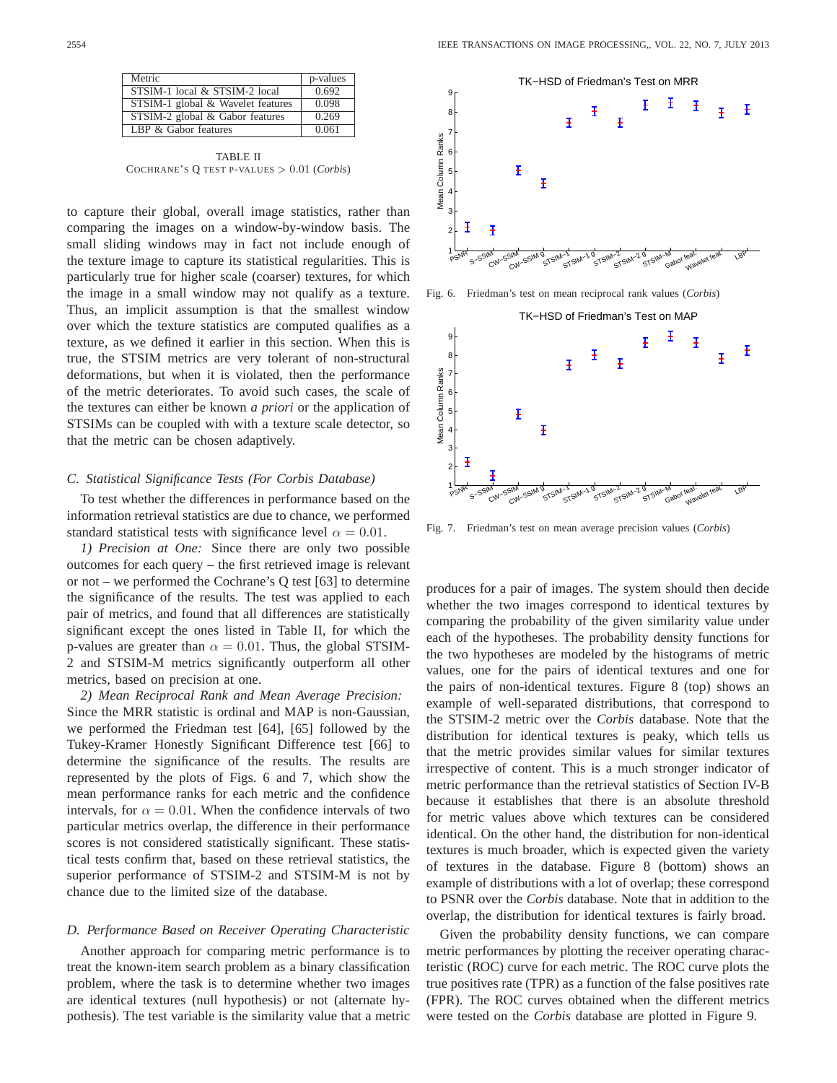| Metric                             | p-values |
|------------------------------------|----------|
| STSIM-1 local & STSIM-2 local      | 0.692    |
| STSIM-1 global & Wavelet features  | 0.098    |
| STSIM-2 global $\&$ Gabor features | 0.269    |
| <b>LBP &amp; Gabor features</b>    | 0.061    |

TABLE II COCHRANE'<sup>S</sup> Q TEST P-VALUES > 0.01 (*Corbis*)

to capture their global, overall image statistics, rather than comparing the images on a window-by-window basis. The small sliding windows may in fact not include enough of the texture image to capture its statistical regularities. This is particularly true for higher scale (coarser) textures, for which the image in a small window may not qualify as a texture. Thus, an implicit assumption is that the smallest window over which the texture statistics are computed qualifies as a texture, as we defined it earlier in this section. When this is true, the STSIM metrics are very tolerant of non-structural deformations, but when it is violated, then the performance of the metric deteriorates. To avoid such cases, the scale of the textures can either be known *a priori* or the application of STSIMs can be coupled with with a texture scale detector, so that the metric can be chosen adaptively.

## *C. Statistical Significance Tests (For Corbis Database)*

To test whether the differences in performance based on the information retrieval statistics are due to chance, we performed standard statistical tests with significance level  $\alpha = 0.01$ .

*1) Precision at One:* Since there are only two possible outcomes for each query – the first retrieved image is relevant or not – we performed the Cochrane's Q test [63] to determine the significance of the results. The test was applied to each pair of metrics, and found that all differences are statistically significant except the ones listed in Table II, for which the p-values are greater than  $\alpha = 0.01$ . Thus, the global STSIM-2 and STSIM-M metrics significantly outperform all other metrics, based on precision at one.

*2) Mean Reciprocal Rank and Mean Average Precision:* Since the MRR statistic is ordinal and MAP is non-Gaussian, we performed the Friedman test [64], [65] followed by the Tukey-Kramer Honestly Significant Difference test [66] to determine the significance of the results. The results are represented by the plots of Figs. 6 and 7, which show the mean performance ranks for each metric and the confidence intervals, for  $\alpha = 0.01$ . When the confidence intervals of two particular metrics overlap, the difference in their performance scores is not considered statistically significant. These statistical tests confirm that, based on these retrieval statistics, the superior performance of STSIM-2 and STSIM-M is not by chance due to the limited size of the database.

# *D. Performance Based on Receiver Operating Characteristic*

Another approach for comparing metric performance is to treat the known-item search problem as a binary classification problem, where the task is to determine whether two images are identical textures (null hypothesis) or not (alternate hypothesis). The test variable is the similarity value that a metric



Fig. 6. Friedman's test on mean reciprocal rank values (*Corbis*)



Fig. 7. Friedman's test on mean average precision values (*Corbis*)

produces for a pair of images. The system should then decide whether the two images correspond to identical textures by comparing the probability of the given similarity value under each of the hypotheses. The probability density functions for the two hypotheses are modeled by the histograms of metric values, one for the pairs of identical textures and one for the pairs of non-identical textures. Figure 8 (top) shows an example of well-separated distributions, that correspond to the STSIM-2 metric over the *Corbis* database. Note that the distribution for identical textures is peaky, which tells us that the metric provides similar values for similar textures irrespective of content. This is a much stronger indicator of metric performance than the retrieval statistics of Section IV-B because it establishes that there is an absolute threshold for metric values above which textures can be considered identical. On the other hand, the distribution for non-identical textures is much broader, which is expected given the variety of textures in the database. Figure 8 (bottom) shows an example of distributions with a lot of overlap; these correspond to PSNR over the *Corbis* database. Note that in addition to the overlap, the distribution for identical textures is fairly broad.

Given the probability density functions, we can compare metric performances by plotting the receiver operating characteristic (ROC) curve for each metric. The ROC curve plots the true positives rate (TPR) as a function of the false positives rate (FPR). The ROC curves obtained when the different metrics were tested on the *Corbis* database are plotted in Figure 9.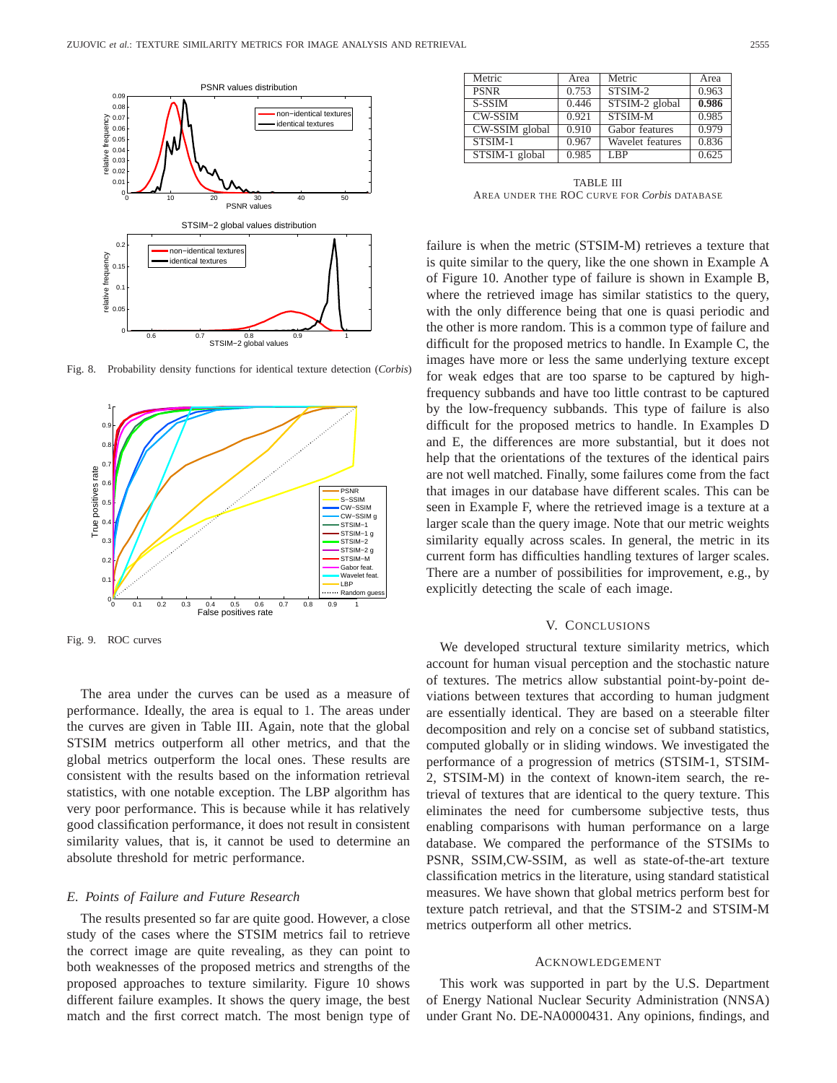

Fig. 8. Probability density functions for identical texture detection (*Corbis*)



Fig. 9. ROC curves

The area under the curves can be used as a measure of performance. Ideally, the area is equal to 1. The areas under the curves are given in Table III. Again, note that the global STSIM metrics outperform all other metrics, and that the global metrics outperform the local ones. These results are consistent with the results based on the information retrieval statistics, with one notable exception. The LBP algorithm has very poor performance. This is because while it has relatively good classification performance, it does not result in consistent similarity values, that is, it cannot be used to determine an absolute threshold for metric performance.

#### *E. Points of Failure and Future Research*

The results presented so far are quite good. However, a close study of the cases where the STSIM metrics fail to retrieve the correct image are quite revealing, as they can point to both weaknesses of the proposed metrics and strengths of the proposed approaches to texture similarity. Figure 10 shows different failure examples. It shows the query image, the best match and the first correct match. The most benign type of

| Metric         | Area  | Metric           | Area  |
|----------------|-------|------------------|-------|
| <b>PSNR</b>    | 0.753 | STSIM-2          | 0.963 |
| S-SSIM         | 0.446 | STSIM-2 global   | 0.986 |
| $CW-SSIM$      | 0.921 | STSIM-M          | 0.985 |
| CW-SSIM global | 0.910 | Gabor features   | 0.979 |
| $STSIM-1$      | 0.967 | Wavelet features | 0.836 |
| STSIM-1 global | 0.985 | L <sub>RP</sub>  | 0.625 |

TABLE III AREA UNDER THE ROC CURVE FOR *Corbis* DATABASE

failure is when the metric (STSIM-M) retrieves a texture that is quite similar to the query, like the one shown in Example A of Figure 10. Another type of failure is shown in Example B, where the retrieved image has similar statistics to the query, with the only difference being that one is quasi periodic and the other is more random. This is a common type of failure and difficult for the proposed metrics to handle. In Example C, the images have more or less the same underlying texture except for weak edges that are too sparse to be captured by highfrequency subbands and have too little contrast to be captured by the low-frequency subbands. This type of failure is also difficult for the proposed metrics to handle. In Examples D and E, the differences are more substantial, but it does not help that the orientations of the textures of the identical pairs are not well matched. Finally, some failures come from the fact that images in our database have different scales. This can be seen in Example F, where the retrieved image is a texture at a larger scale than the query image. Note that our metric weights similarity equally across scales. In general, the metric in its current form has difficulties handling textures of larger scales. There are a number of possibilities for improvement, e.g., by explicitly detecting the scale of each image.

# V. CONCLUSIONS

We developed structural texture similarity metrics, which account for human visual perception and the stochastic nature of textures. The metrics allow substantial point-by-point deviations between textures that according to human judgment are essentially identical. They are based on a steerable filter decomposition and rely on a concise set of subband statistics, computed globally or in sliding windows. We investigated the performance of a progression of metrics (STSIM-1, STSIM-2, STSIM-M) in the context of known-item search, the retrieval of textures that are identical to the query texture. This eliminates the need for cumbersome subjective tests, thus enabling comparisons with human performance on a large database. We compared the performance of the STSIMs to PSNR, SSIM,CW-SSIM, as well as state-of-the-art texture classification metrics in the literature, using standard statistical measures. We have shown that global metrics perform best for texture patch retrieval, and that the STSIM-2 and STSIM-M metrics outperform all other metrics.

# ACKNOWLEDGEMENT

This work was supported in part by the U.S. Department of Energy National Nuclear Security Administration (NNSA) under Grant No. DE-NA0000431. Any opinions, findings, and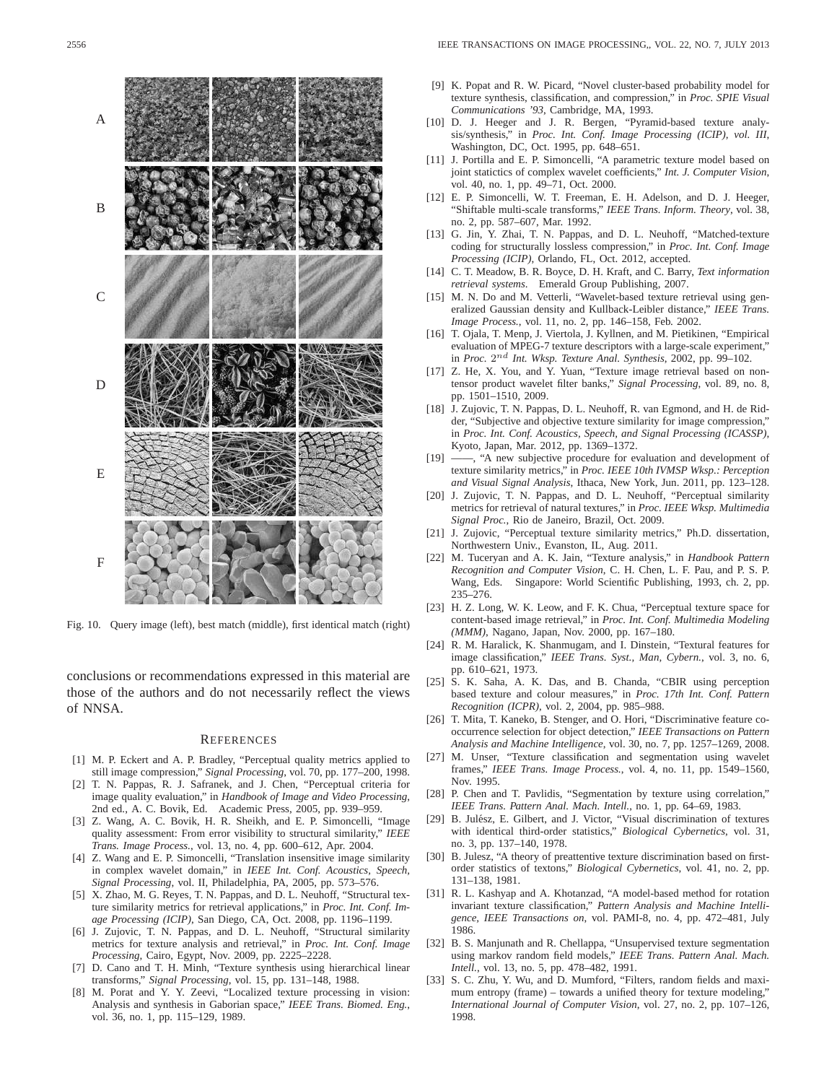

Fig. 10. Query image (left), best match (middle), first identical match (right)

conclusions or recommendations expressed in this material are those of the authors and do not necessarily reflect the views of NNSA.

#### **REFERENCES**

- [1] M. P. Eckert and A. P. Bradley, "Perceptual quality metrics applied to still image compression," *Signal Processing*, vol. 70, pp. 177–200, 1998.
- [2] T. N. Pappas, R. J. Safranek, and J. Chen, "Perceptual criteria for image quality evaluation," in *Handbook of Image and Video Processing*, 2nd ed., A. C. Bovik, Ed. Academic Press, 2005, pp. 939–959.
- [3] Z. Wang, A. C. Bovik, H. R. Sheikh, and E. P. Simoncelli, "Image quality assessment: From error visibility to structural similarity," *IEEE Trans. Image Process.*, vol. 13, no. 4, pp. 600–612, Apr. 2004.
- [4] Z. Wang and E. P. Simoncelli, "Translation insensitive image similarity in complex wavelet domain," in *IEEE Int. Conf. Acoustics, Speech, Signal Processing*, vol. II, Philadelphia, PA, 2005, pp. 573–576.
- [5] X. Zhao, M. G. Reyes, T. N. Pappas, and D. L. Neuhoff, "Structural texture similarity metrics for retrieval applications," in *Proc. Int. Conf. Image Processing (ICIP)*, San Diego, CA, Oct. 2008, pp. 1196–1199.
- [6] J. Zujovic, T. N. Pappas, and D. L. Neuhoff, "Structural similarity metrics for texture analysis and retrieval," in *Proc. Int. Conf. Image Processing*, Cairo, Egypt, Nov. 2009, pp. 2225–2228.
- [7] D. Cano and T. H. Minh, "Texture synthesis using hierarchical linear transforms," *Signal Processing*, vol. 15, pp. 131–148, 1988.
- [8] M. Porat and Y. Y. Zeevi, "Localized texture processing in vision: Analysis and synthesis in Gaborian space," *IEEE Trans. Biomed. Eng.*, vol. 36, no. 1, pp. 115–129, 1989.
- [9] K. Popat and R. W. Picard, "Novel cluster-based probability model for texture synthesis, classification, and compression," in *Proc. SPIE Visual Communications '93*, Cambridge, MA, 1993.
- [10] D. J. Heeger and J. R. Bergen, "Pyramid-based texture analysis/synthesis," in *Proc. Int. Conf. Image Processing (ICIP), vol. III*, Washington, DC, Oct. 1995, pp. 648–651.
- [11] J. Portilla and E. P. Simoncelli, "A parametric texture model based on joint statictics of complex wavelet coefficients," *Int. J. Computer Vision*, vol. 40, no. 1, pp. 49–71, Oct. 2000.
- [12] E. P. Simoncelli, W. T. Freeman, E. H. Adelson, and D. J. Heeger, "Shiftable multi-scale transforms," *IEEE Trans. Inform. Theory*, vol. 38, no. 2, pp. 587–607, Mar. 1992.
- [13] G. Jin, Y. Zhai, T. N. Pappas, and D. L. Neuhoff, "Matched-texture coding for structurally lossless compression," in *Proc. Int. Conf. Image Processing (ICIP)*, Orlando, FL, Oct. 2012, accepted.
- [14] C. T. Meadow, B. R. Boyce, D. H. Kraft, and C. Barry, *Text information retrieval systems*. Emerald Group Publishing, 2007.
- [15] M. N. Do and M. Vetterli, "Wavelet-based texture retrieval using generalized Gaussian density and Kullback-Leibler distance," *IEEE Trans. Image Process.*, vol. 11, no. 2, pp. 146–158, Feb. 2002.
- [16] T. Ojala, T. Menp, J. Viertola, J. Kyllnen, and M. Pietikinen, "Empirical evaluation of MPEG-7 texture descriptors with a large-scale experiment," in *Proc.* 2 nd *Int. Wksp. Texture Anal. Synthesis*, 2002, pp. 99–102.
- [17] Z. He, X. You, and Y. Yuan, "Texture image retrieval based on nontensor product wavelet filter banks," *Signal Processing*, vol. 89, no. 8, pp. 1501–1510, 2009.
- [18] J. Zujovic, T. N. Pappas, D. L. Neuhoff, R. van Egmond, and H. de Ridder, "Subjective and objective texture similarity for image compression," in *Proc. Int. Conf. Acoustics, Speech, and Signal Processing (ICASSP)*, Kyoto, Japan, Mar. 2012, pp. 1369–1372.
- [19] ——, "A new subjective procedure for evaluation and development of texture similarity metrics," in *Proc. IEEE 10th IVMSP Wksp.: Perception and Visual Signal Analysis*, Ithaca, New York, Jun. 2011, pp. 123–128.
- [20] J. Zujovic, T. N. Pappas, and D. L. Neuhoff, "Perceptual similarity metrics for retrieval of natural textures," in *Proc. IEEE Wksp. Multimedia Signal Proc.*, Rio de Janeiro, Brazil, Oct. 2009.
- [21] J. Zujovic, "Perceptual texture similarity metrics," Ph.D. dissertation, Northwestern Univ., Evanston, IL, Aug. 2011.
- [22] M. Tuceryan and A. K. Jain, "Texture analysis," in *Handbook Pattern Recognition and Computer Vision*, C. H. Chen, L. F. Pau, and P. S. P. Wang, Eds. Singapore: World Scientific Publishing, 1993, ch. 2, pp. 235–276.
- [23] H. Z. Long, W. K. Leow, and F. K. Chua, "Perceptual texture space for content-based image retrieval," in *Proc. Int. Conf. Multimedia Modeling (MMM)*, Nagano, Japan, Nov. 2000, pp. 167–180.
- [24] R. M. Haralick, K. Shanmugam, and I. Dinstein, "Textural features for image classification," *IEEE Trans. Syst., Man, Cybern.*, vol. 3, no. 6, pp. 610–621, 1973.
- [25] S. K. Saha, A. K. Das, and B. Chanda, "CBIR using perception based texture and colour measures," in *Proc. 17th Int. Conf. Pattern Recognition (ICPR)*, vol. 2, 2004, pp. 985–988.
- [26] T. Mita, T. Kaneko, B. Stenger, and O. Hori, "Discriminative feature cooccurrence selection for object detection," *IEEE Transactions on Pattern Analysis and Machine Intelligence*, vol. 30, no. 7, pp. 1257–1269, 2008.
- [27] M. Unser, "Texture classification and segmentation using wavelet frames," *IEEE Trans. Image Process.*, vol. 4, no. 11, pp. 1549–1560, Nov. 1995.
- [28] P. Chen and T. Pavlidis, "Segmentation by texture using correlation," *IEEE Trans. Pattern Anal. Mach. Intell.*, no. 1, pp. 64–69, 1983.
- [29] B. Julész, E. Gilbert, and J. Victor, "Visual discrimination of textures with identical third-order statistics," *Biological Cybernetics*, vol. 31, no. 3, pp. 137–140, 1978.
- [30] B. Julesz, "A theory of preattentive texture discrimination based on firstorder statistics of textons," *Biological Cybernetics*, vol. 41, no. 2, pp. 131–138, 1981.
- [31] R. L. Kashyap and A. Khotanzad, "A model-based method for rotation invariant texture classification," *Pattern Analysis and Machine Intelligence, IEEE Transactions on*, vol. PAMI-8, no. 4, pp. 472–481, July 1986.
- [32] B. S. Manjunath and R. Chellappa, "Unsupervised texture segmentation using markov random field models," *IEEE Trans. Pattern Anal. Mach. Intell.*, vol. 13, no. 5, pp. 478–482, 1991.
- [33] S. C. Zhu, Y. Wu, and D. Mumford, "Filters, random fields and maximum entropy (frame) – towards a unified theory for texture modeling," *International Journal of Computer Vision*, vol. 27, no. 2, pp. 107–126, 1998.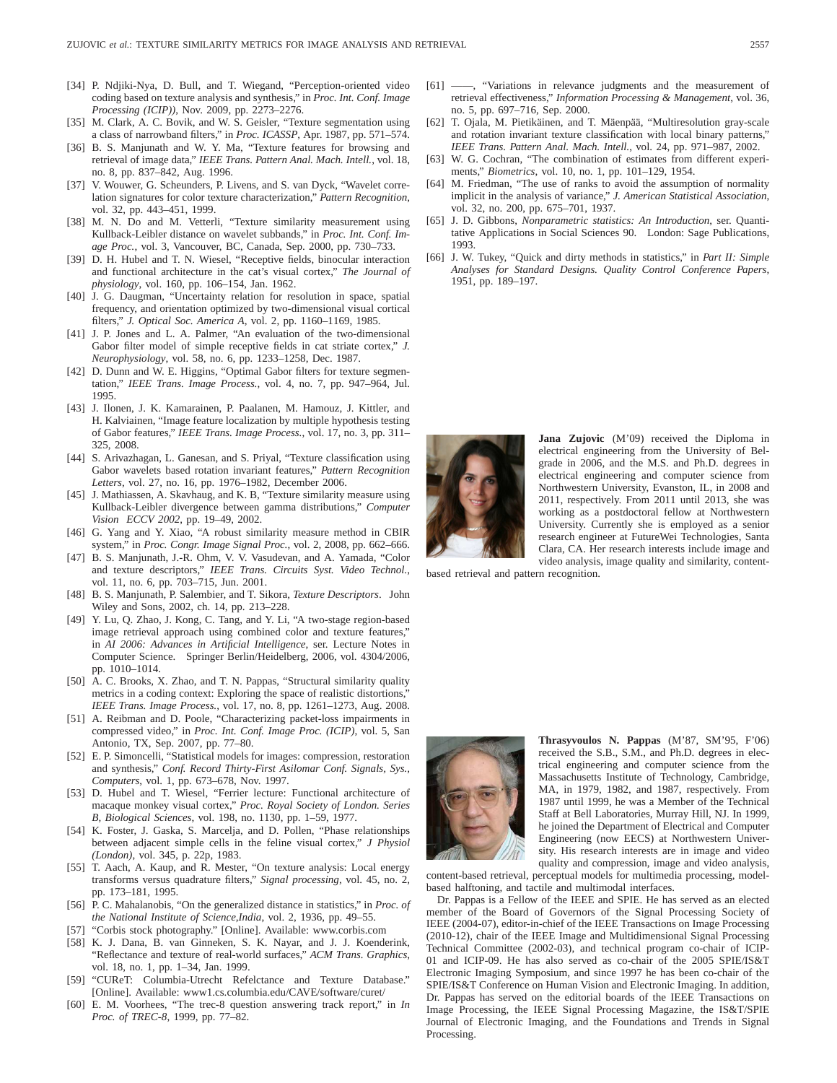- [34] P. Ndjiki-Nya, D. Bull, and T. Wiegand, "Perception-oriented video coding based on texture analysis and synthesis," in *Proc. Int. Conf. Image Processing (ICIP))*, Nov. 2009, pp. 2273–2276.
- [35] M. Clark, A. C. Bovik, and W. S. Geisler, "Texture segmentation using a class of narrowband filters," in *Proc. ICASSP*, Apr. 1987, pp. 571–574.
- [36] B. S. Manjunath and W. Y. Ma, "Texture features for browsing and retrieval of image data," *IEEE Trans. Pattern Anal. Mach. Intell.*, vol. 18, no. 8, pp. 837–842, Aug. 1996.
- [37] V. Wouwer, G. Scheunders, P. Livens, and S. van Dyck, "Wavelet correlation signatures for color texture characterization," *Pattern Recognition*, vol. 32, pp. 443–451, 1999.
- [38] M. N. Do and M. Vetterli, "Texture similarity measurement using Kullback-Leibler distance on wavelet subbands," in *Proc. Int. Conf. Image Proc.*, vol. 3, Vancouver, BC, Canada, Sep. 2000, pp. 730–733.
- [39] D. H. Hubel and T. N. Wiesel, "Receptive fields, binocular interaction and functional architecture in the cat's visual cortex," *The Journal of physiology*, vol. 160, pp. 106–154, Jan. 1962.
- [40] J. G. Daugman, "Uncertainty relation for resolution in space, spatial frequency, and orientation optimized by two-dimensional visual cortical filters," *J. Optical Soc. America A*, vol. 2, pp. 1160–1169, 1985.
- [41] J. P. Jones and L. A. Palmer, "An evaluation of the two-dimensional Gabor filter model of simple receptive fields in cat striate cortex," *J. Neurophysiology*, vol. 58, no. 6, pp. 1233–1258, Dec. 1987.
- [42] D. Dunn and W. E. Higgins, "Optimal Gabor filters for texture segmentation," *IEEE Trans. Image Process.*, vol. 4, no. 7, pp. 947–964, Jul. 1995.
- [43] J. Ilonen, J. K. Kamarainen, P. Paalanen, M. Hamouz, J. Kittler, and H. Kalviainen, "Image feature localization by multiple hypothesis testing of Gabor features," *IEEE Trans. Image Process.*, vol. 17, no. 3, pp. 311– 325, 2008.
- [44] S. Arivazhagan, L. Ganesan, and S. Priyal, "Texture classification using Gabor wavelets based rotation invariant features," *Pattern Recognition Letters*, vol. 27, no. 16, pp. 1976–1982, December 2006.
- [45] J. Mathiassen, A. Skavhaug, and K. B, "Texture similarity measure using Kullback-Leibler divergence between gamma distributions," *Computer Vision ECCV 2002*, pp. 19–49, 2002.
- [46] G. Yang and Y. Xiao, "A robust similarity measure method in CBIR system," in *Proc. Congr. Image Signal Proc.*, vol. 2, 2008, pp. 662–666.
- [47] B. S. Manjunath, J.-R. Ohm, V. V. Vasudevan, and A. Yamada, "Color and texture descriptors," *IEEE Trans. Circuits Syst. Video Technol.*, vol. 11, no. 6, pp. 703–715, Jun. 2001.
- [48] B. S. Manjunath, P. Salembier, and T. Sikora, *Texture Descriptors*. John Wiley and Sons, 2002, ch. 14, pp. 213–228.
- [49] Y. Lu, Q. Zhao, J. Kong, C. Tang, and Y. Li, "A two-stage region-based image retrieval approach using combined color and texture features," in *AI 2006: Advances in Artificial Intelligence*, ser. Lecture Notes in Computer Science. Springer Berlin/Heidelberg, 2006, vol. 4304/2006, pp. 1010–1014.
- [50] A. C. Brooks, X. Zhao, and T. N. Pappas, "Structural similarity quality metrics in a coding context: Exploring the space of realistic distortions," *IEEE Trans. Image Process.*, vol. 17, no. 8, pp. 1261–1273, Aug. 2008.
- [51] A. Reibman and D. Poole, "Characterizing packet-loss impairments in compressed video," in *Proc. Int. Conf. Image Proc. (ICIP)*, vol. 5, San Antonio, TX, Sep. 2007, pp. 77–80.
- [52] E. P. Simoncelli, "Statistical models for images: compression, restoration and synthesis," *Conf. Record Thirty-First Asilomar Conf. Signals, Sys., Computers*, vol. 1, pp. 673–678, Nov. 1997.
- [53] D. Hubel and T. Wiesel, "Ferrier lecture: Functional architecture of macaque monkey visual cortex," *Proc. Royal Society of London. Series B, Biological Sciences*, vol. 198, no. 1130, pp. 1–59, 1977.
- [54] K. Foster, J. Gaska, S. Marcelja, and D. Pollen, "Phase relationships between adjacent simple cells in the feline visual cortex," *J Physiol (London)*, vol. 345, p. 22p, 1983.
- [55] T. Aach, A. Kaup, and R. Mester, "On texture analysis: Local energy transforms versus quadrature filters," *Signal processing*, vol. 45, no. 2, pp. 173–181, 1995.
- [56] P. C. Mahalanobis, "On the generalized distance in statistics," in *Proc. of the National Institute of Science,India*, vol. 2, 1936, pp. 49–55.
- [57] "Corbis stock photography." [Online]. Available: www.corbis.com
- [58] K. J. Dana, B. van Ginneken, S. K. Nayar, and J. J. Koenderink, "Reflectance and texture of real-world surfaces," *ACM Trans. Graphics*, vol. 18, no. 1, pp. 1–34, Jan. 1999.
- [59] "CUReT: Columbia-Utrecht Refelctance and Texture Database." [Online]. Available: www1.cs.columbia.edu/CAVE/software/curet/
- [60] E. M. Voorhees, "The trec-8 question answering track report," in *In Proc. of TREC-8*, 1999, pp. 77–82.
- [61] ——, "Variations in relevance judgments and the measurement of retrieval effectiveness," *Information Processing & Management*, vol. 36, no. 5, pp. 697–716, Sep. 2000.
- [62] T. Ojala, M. Pietikäinen, and T. Mäenpää, "Multiresolution gray-scale and rotation invariant texture classification with local binary patterns," *IEEE Trans. Pattern Anal. Mach. Intell.*, vol. 24, pp. 971–987, 2002.
- [63] W. G. Cochran, "The combination of estimates from different experiments," *Biometrics*, vol. 10, no. 1, pp. 101–129, 1954.
- [64] M. Friedman, "The use of ranks to avoid the assumption of normality implicit in the analysis of variance," *J. American Statistical Association*, vol. 32, no. 200, pp. 675–701, 1937.
- [65] J. D. Gibbons, *Nonparametric statistics: An Introduction*, ser. Quantitative Applications in Social Sciences 90. London: Sage Publications, 1993.
- [66] J. W. Tukey, "Quick and dirty methods in statistics," in *Part II: Simple Analyses for Standard Designs. Quality Control Conference Papers*, 1951, pp. 189–197.



**Jana Zujovic** (M'09) received the Diploma in electrical engineering from the University of Belgrade in 2006, and the M.S. and Ph.D. degrees in electrical engineering and computer science from Northwestern University, Evanston, IL, in 2008 and 2011, respectively. From 2011 until 2013, she was working as a postdoctoral fellow at Northwestern University. Currently she is employed as a senior research engineer at FutureWei Technologies, Santa Clara, CA. Her research interests include image and video analysis, image quality and similarity, content-

based retrieval and pattern recognition.



**Thrasyvoulos N. Pappas** (M'87, SM'95, F'06) received the S.B., S.M., and Ph.D. degrees in electrical engineering and computer science from the Massachusetts Institute of Technology, Cambridge, MA, in 1979, 1982, and 1987, respectively. From 1987 until 1999, he was a Member of the Technical Staff at Bell Laboratories, Murray Hill, NJ. In 1999, he joined the Department of Electrical and Computer Engineering (now EECS) at Northwestern University. His research interests are in image and video quality and compression, image and video analysis,

content-based retrieval, perceptual models for multimedia processing, modelbased halftoning, and tactile and multimodal interfaces.

Dr. Pappas is a Fellow of the IEEE and SPIE. He has served as an elected member of the Board of Governors of the Signal Processing Society of IEEE (2004-07), editor-in-chief of the IEEE Transactions on Image Processing (2010-12), chair of the IEEE Image and Multidimensional Signal Processing Technical Committee (2002-03), and technical program co-chair of ICIP-01 and ICIP-09. He has also served as co-chair of the 2005 SPIE/IS&T Electronic Imaging Symposium, and since 1997 he has been co-chair of the SPIE/IS&T Conference on Human Vision and Electronic Imaging. In addition, Dr. Pappas has served on the editorial boards of the IEEE Transactions on Image Processing, the IEEE Signal Processing Magazine, the IS&T/SPIE Journal of Electronic Imaging, and the Foundations and Trends in Signal Processing.